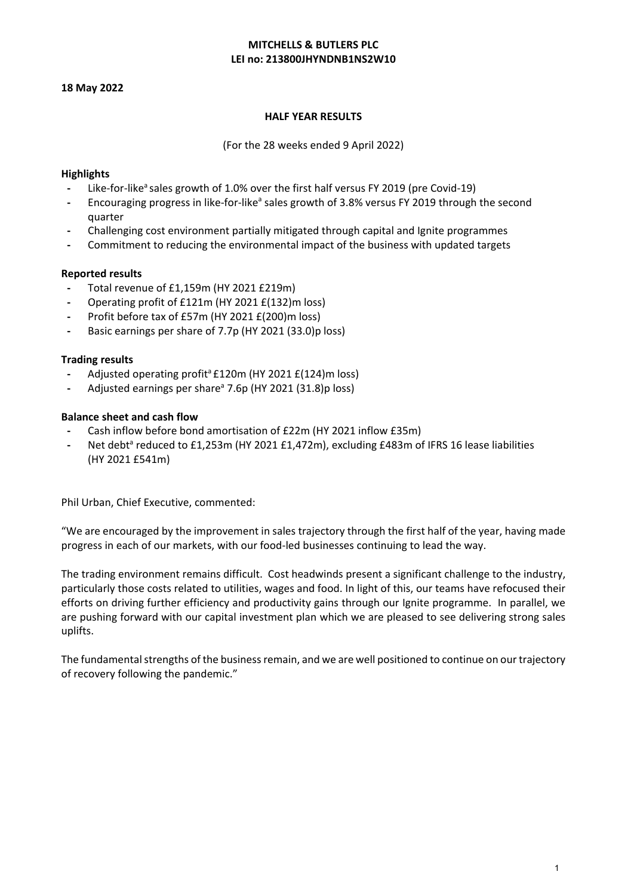# **MITCHELLS & BUTLERS PLC LEI no: 213800JHYNDNB1NS2W10**

### **18 May 2022**

### **HALF YEAR RESULTS**

(For the 28 weeks ended 9 April 2022)

# **Highlights**

- Like-for-like<sup>a</sup> sales growth of 1.0% over the first half versus FY 2019 (pre Covid-19)
- Encouraging progress in like-for-like<sup>a</sup> sales growth of 3.8% versus FY 2019 through the second quarter
- **-** Challenging cost environment partially mitigated through capital and Ignite programmes
- **-** Commitment to reducing the environmental impact of the business with updated targets

# **Reported results**

- **-** Total revenue of £1,159m (HY 2021 £219m)
- **-** Operating profit of £121m (HY 2021 £(132)m loss)
- **-** Profit before tax of £57m (HY 2021 £(200)m loss)
- **-** Basic earnings per share of 7.7p (HY 2021 (33.0)p loss)

### **Trading results**

- Adjusted operating profit<sup>a</sup> £120m (HY 2021 £(124)m loss)
- **-** Adjusted earnings per sharea 7.6p (HY 2021 (31.8)p loss)

# **Balance sheet and cash flow**

- **-** Cash inflow before bond amortisation of £22m (HY 2021 inflow £35m)
- Net debt<sup>a</sup> reduced to £1,253m (HY 2021 £1,472m), excluding £483m of IFRS 16 lease liabilities (HY 2021 £541m)

Phil Urban, Chief Executive, commented:

"We are encouraged by the improvement in sales trajectory through the first half of the year, having made progress in each of our markets, with our food-led businesses continuing to lead the way.

The trading environment remains difficult. Cost headwinds present a significant challenge to the industry, particularly those costs related to utilities, wages and food. In light of this, our teams have refocused their efforts on driving further efficiency and productivity gains through our Ignite programme. In parallel, we are pushing forward with our capital investment plan which we are pleased to see delivering strong sales uplifts.

The fundamental strengths of the business remain, and we are well positioned to continue on our trajectory of recovery following the pandemic."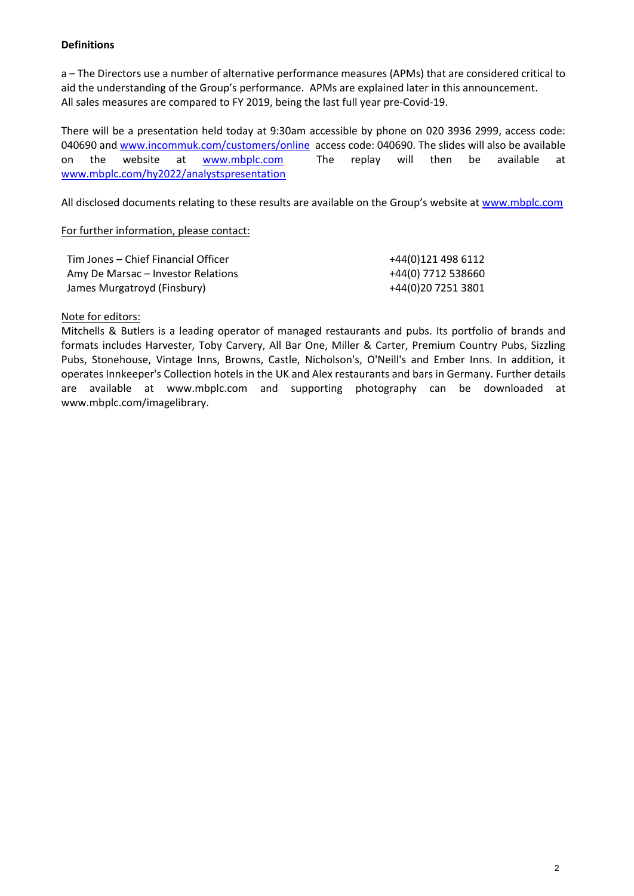# **Definitions**

a – The Directors use a number of alternative performance measures (APMs) that are considered critical to aid the understanding of the Group's performance. APMs are explained later in this announcement. All sales measures are compared to FY 2019, being the last full year pre-Covid-19.

There will be a presentation held today at 9:30am accessible by phone on 020 3936 2999, access code: 040690 and [www.incommuk.com/customers/online](http://www.incommuk.com/customers/online) access code: 040690. The slides will also be available on the website at **www.mbplc.com** The replay will then be available at [www.mbplc.com/hy2022/analystspresentation](http://www.mbplc.com/hy2022/analystspresentation) 

All disclosed documents relating to these results are available on the Group's website at [www.mbplc.com](http://www.mbplc.com/) 

## For further information, please contact:

| Tim Jones – Chief Financial Officer | +44(0)121 498 6112 |
|-------------------------------------|--------------------|
| Amy De Marsac – Investor Relations  | +44(0) 7712 538660 |
| James Murgatroyd (Finsbury)         | +44(0)20 7251 3801 |

# Note for editors:

Mitchells & Butlers is a leading operator of managed restaurants and pubs. Its portfolio of brands and formats includes Harvester, Toby Carvery, All Bar One, Miller & Carter, Premium Country Pubs, Sizzling Pubs, Stonehouse, Vintage Inns, Browns, Castle, Nicholson's, O'Neill's and Ember Inns. In addition, it operates Innkeeper's Collection hotels in the UK and Alex restaurants and bars in Germany. Further details are available at www.mbplc.com and supporting photography can be downloaded at [www.mbplc.com/imagelibrary.](http://www.mbplc.com/imagelibrary)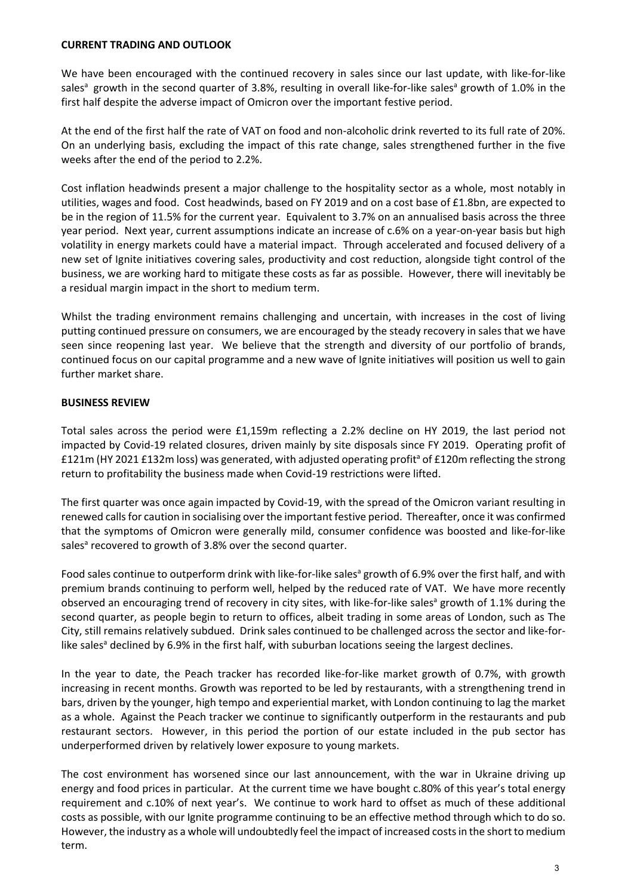### **CURRENT TRADING AND OUTLOOK**

We have been encouraged with the continued recovery in sales since our last update, with like-for-like sales<sup>a</sup> growth in the second quarter of 3.8%, resulting in overall like-for-like sales<sup>a</sup> growth of 1.0% in the first half despite the adverse impact of Omicron over the important festive period.

At the end of the first half the rate of VAT on food and non-alcoholic drink reverted to its full rate of 20%. On an underlying basis, excluding the impact of this rate change, sales strengthened further in the five weeks after the end of the period to 2.2%.

Cost inflation headwinds present a major challenge to the hospitality sector as a whole, most notably in utilities, wages and food. Cost headwinds, based on FY 2019 and on a cost base of £1.8bn, are expected to be in the region of 11.5% for the current year. Equivalent to 3.7% on an annualised basis across the three year period. Next year, current assumptions indicate an increase of c.6% on a year-on-year basis but high volatility in energy markets could have a material impact. Through accelerated and focused delivery of a new set of Ignite initiatives covering sales, productivity and cost reduction, alongside tight control of the business, we are working hard to mitigate these costs as far as possible. However, there will inevitably be a residual margin impact in the short to medium term.

Whilst the trading environment remains challenging and uncertain, with increases in the cost of living putting continued pressure on consumers, we are encouraged by the steady recovery in sales that we have seen since reopening last year. We believe that the strength and diversity of our portfolio of brands, continued focus on our capital programme and a new wave of Ignite initiatives will position us well to gain further market share.

# **BUSINESS REVIEW**

Total sales across the period were £1,159m reflecting a 2.2% decline on HY 2019, the last period not impacted by Covid-19 related closures, driven mainly by site disposals since FY 2019. Operating profit of £121m (HY 2021 £132m loss) was generated, with adjusted operating profit<sup>a</sup> of £120m reflecting the strong return to profitability the business made when Covid-19 restrictions were lifted.

The first quarter was once again impacted by Covid-19, with the spread of the Omicron variant resulting in renewed calls for caution in socialising over the important festive period. Thereafter, once it was confirmed that the symptoms of Omicron were generally mild, consumer confidence was boosted and like-for-like sales<sup>a</sup> recovered to growth of 3.8% over the second quarter.

Food sales continue to outperform drink with like-for-like sales<sup>a</sup> growth of 6.9% over the first half, and with premium brands continuing to perform well, helped by the reduced rate of VAT. We have more recently observed an encouraging trend of recovery in city sites, with like-for-like sales<sup>a</sup> growth of 1.1% during the second quarter, as people begin to return to offices, albeit trading in some areas of London, such as The City, still remains relatively subdued. Drink sales continued to be challenged across the sector and like-forlike sales<sup>a</sup> declined by 6.9% in the first half, with suburban locations seeing the largest declines.

In the year to date, the Peach tracker has recorded like-for-like market growth of 0.7%, with growth increasing in recent months. Growth was reported to be led by restaurants, with a strengthening trend in bars, driven by the younger, high tempo and experiential market, with London continuing to lag the market as a whole. Against the Peach tracker we continue to significantly outperform in the restaurants and pub restaurant sectors. However, in this period the portion of our estate included in the pub sector has underperformed driven by relatively lower exposure to young markets.

The cost environment has worsened since our last announcement, with the war in Ukraine driving up energy and food prices in particular. At the current time we have bought c.80% of this year's total energy requirement and c.10% of next year's. We continue to work hard to offset as much of these additional costs as possible, with our Ignite programme continuing to be an effective method through which to do so. However, the industry as a whole will undoubtedly feel the impact of increased costs in the short to medium term.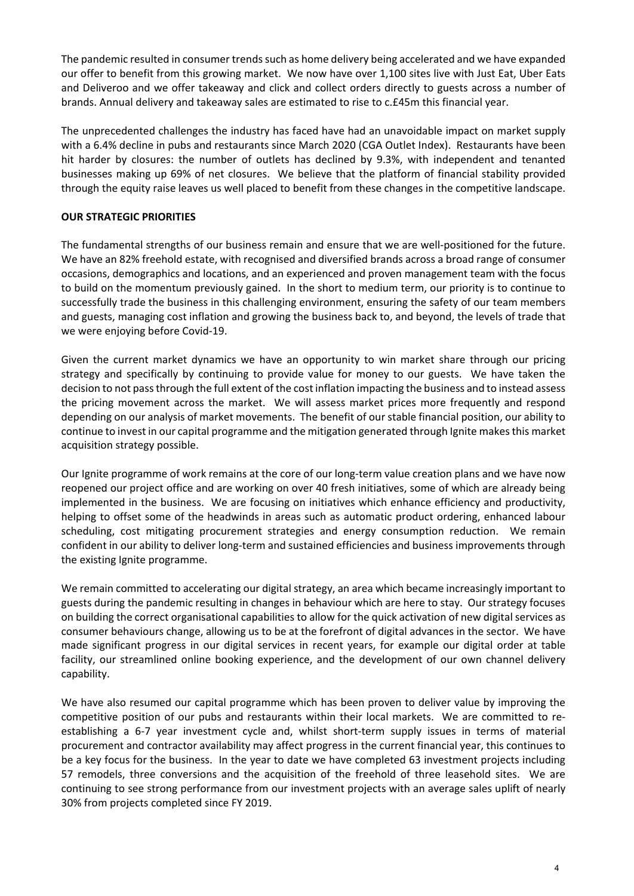The pandemic resulted in consumer trends such as home delivery being accelerated and we have expanded our offer to benefit from this growing market. We now have over 1,100 sites live with Just Eat, Uber Eats and Deliveroo and we offer takeaway and click and collect orders directly to guests across a number of brands. Annual delivery and takeaway sales are estimated to rise to c.£45m this financial year.

The unprecedented challenges the industry has faced have had an unavoidable impact on market supply with a 6.4% decline in pubs and restaurants since March 2020 (CGA Outlet Index). Restaurants have been hit harder by closures: the number of outlets has declined by 9.3%, with independent and tenanted businesses making up 69% of net closures. We believe that the platform of financial stability provided through the equity raise leaves us well placed to benefit from these changes in the competitive landscape.

# **OUR STRATEGIC PRIORITIES**

The fundamental strengths of our business remain and ensure that we are well-positioned for the future. We have an 82% freehold estate, with recognised and diversified brands across a broad range of consumer occasions, demographics and locations, and an experienced and proven management team with the focus to build on the momentum previously gained. In the short to medium term, our priority is to continue to successfully trade the business in this challenging environment, ensuring the safety of our team members and guests, managing cost inflation and growing the business back to, and beyond, the levels of trade that we were enjoying before Covid-19.

Given the current market dynamics we have an opportunity to win market share through our pricing strategy and specifically by continuing to provide value for money to our guests. We have taken the decision to not pass through the full extent of the cost inflation impacting the business and to instead assess the pricing movement across the market. We will assess market prices more frequently and respond depending on our analysis of market movements. The benefit of our stable financial position, our ability to continue to invest in our capital programme and the mitigation generated through Ignite makes this market acquisition strategy possible.

Our Ignite programme of work remains at the core of our long-term value creation plans and we have now reopened our project office and are working on over 40 fresh initiatives, some of which are already being implemented in the business. We are focusing on initiatives which enhance efficiency and productivity, helping to offset some of the headwinds in areas such as automatic product ordering, enhanced labour scheduling, cost mitigating procurement strategies and energy consumption reduction. We remain confident in our ability to deliver long-term and sustained efficiencies and business improvements through the existing Ignite programme.

We remain committed to accelerating our digital strategy, an area which became increasingly important to guests during the pandemic resulting in changes in behaviour which are here to stay. Our strategy focuses on building the correct organisational capabilities to allow for the quick activation of new digital services as consumer behaviours change, allowing us to be at the forefront of digital advances in the sector. We have made significant progress in our digital services in recent years, for example our digital order at table facility, our streamlined online booking experience, and the development of our own channel delivery capability.

We have also resumed our capital programme which has been proven to deliver value by improving the competitive position of our pubs and restaurants within their local markets. We are committed to reestablishing a 6-7 year investment cycle and, whilst short-term supply issues in terms of material procurement and contractor availability may affect progress in the current financial year, this continues to be a key focus for the business. In the year to date we have completed 63 investment projects including 57 remodels, three conversions and the acquisition of the freehold of three leasehold sites. We are continuing to see strong performance from our investment projects with an average sales uplift of nearly 30% from projects completed since FY 2019.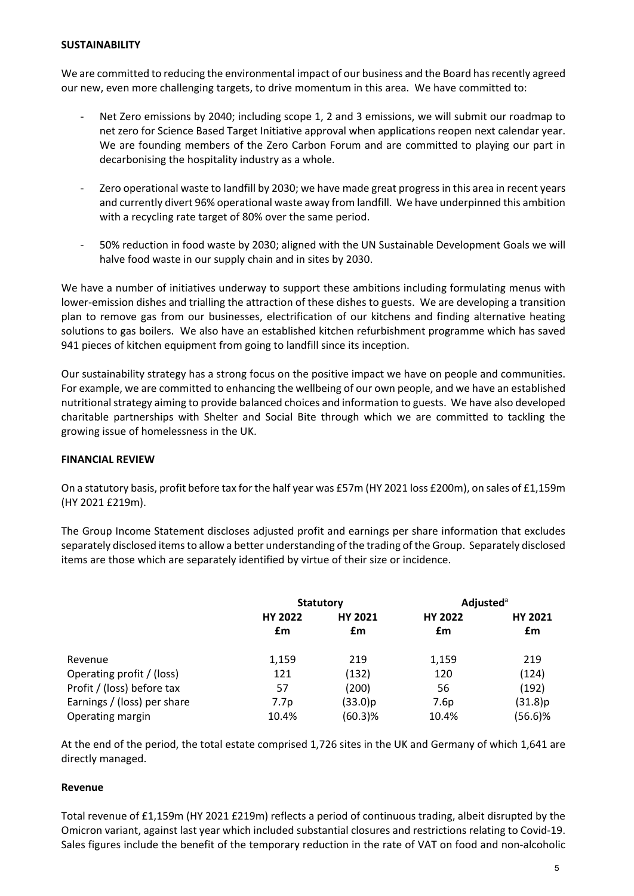### **SUSTAINABILITY**

We are committed to reducing the environmental impact of our business and the Board has recently agreed our new, even more challenging targets, to drive momentum in this area. We have committed to:

- Net Zero emissions by 2040; including scope 1, 2 and 3 emissions, we will submit our roadmap to net zero for Science Based Target Initiative approval when applications reopen next calendar year. We are founding members of the Zero Carbon Forum and are committed to playing our part in decarbonising the hospitality industry as a whole.
- Zero operational waste to landfill by 2030; we have made great progress in this area in recent years and currently divert 96% operational waste away from landfill. We have underpinned this ambition with a recycling rate target of 80% over the same period.
- 50% reduction in food waste by 2030; aligned with the UN Sustainable Development Goals we will halve food waste in our supply chain and in sites by 2030.

We have a number of initiatives underway to support these ambitions including formulating menus with lower-emission dishes and trialling the attraction of these dishes to guests. We are developing a transition plan to remove gas from our businesses, electrification of our kitchens and finding alternative heating solutions to gas boilers. We also have an established kitchen refurbishment programme which has saved 941 pieces of kitchen equipment from going to landfill since its inception.

Our sustainability strategy has a strong focus on the positive impact we have on people and communities. For example, we are committed to enhancing the wellbeing of our own people, and we have an established nutritional strategy aiming to provide balanced choices and information to guests. We have also developed charitable partnerships with Shelter and Social Bite through which we are committed to tackling the growing issue of homelessness in the UK.

# **FINANCIAL REVIEW**

On a statutory basis, profit before tax for the half year was £57m (HY 2021 loss £200m), on sales of £1,159m (HY 2021 £219m).

The Group Income Statement discloses adjusted profit and earnings per share information that excludes separately disclosed items to allow a better understanding of the trading of the Group. Separately disclosed items are those which are separately identified by virtue of their size or incidence.

|                             | <b>Statutory</b> |                | <b>Adjusted</b> <sup>a</sup> |                |  |
|-----------------------------|------------------|----------------|------------------------------|----------------|--|
|                             | <b>HY 2022</b>   | <b>HY 2021</b> | <b>HY 2022</b>               | <b>HY 2021</b> |  |
|                             | £m               | £m             | £m                           | £m             |  |
| Revenue                     | 1,159            | 219            | 1,159                        | 219            |  |
| Operating profit / (loss)   | 121              | (132)          | 120                          | (124)          |  |
| Profit / (loss) before tax  | 57               | (200)          | 56                           | (192)          |  |
| Earnings / (loss) per share | 7.7p             | (33.0)p        | 7.6p                         | (31.8)p        |  |
| Operating margin            | 10.4%            | (60.3)%        | 10.4%                        | $(56.6)\%$     |  |

At the end of the period, the total estate comprised 1,726 sites in the UK and Germany of which 1,641 are directly managed.

# **Revenue**

Total revenue of £1,159m (HY 2021 £219m) reflects a period of continuous trading, albeit disrupted by the Omicron variant, against last year which included substantial closures and restrictions relating to Covid-19. Sales figures include the benefit of the temporary reduction in the rate of VAT on food and non-alcoholic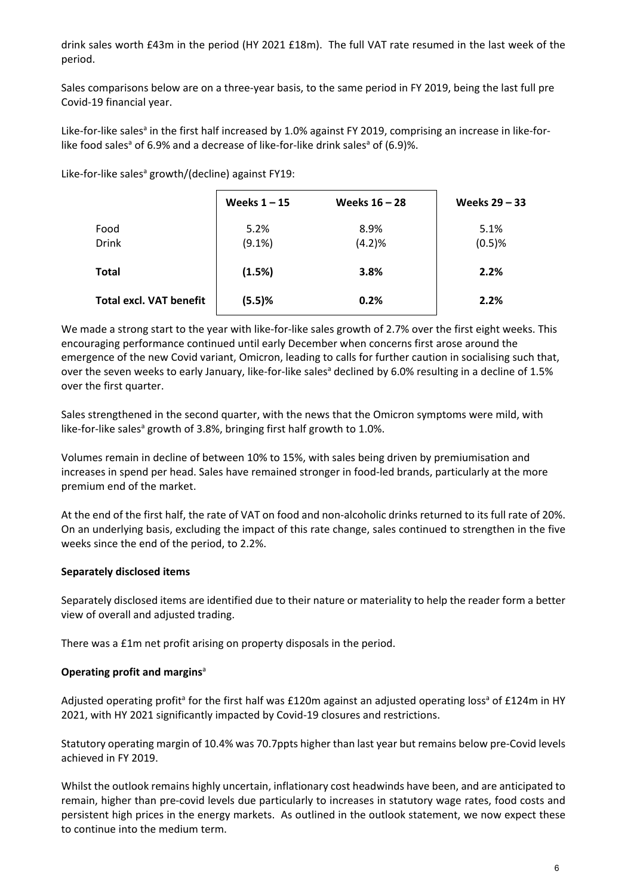drink sales worth £43m in the period (HY 2021 £18m). The full VAT rate resumed in the last week of the period.

Sales comparisons below are on a three-year basis, to the same period in FY 2019, being the last full pre Covid-19 financial year.

Like-for-like sales<sup>a</sup> in the first half increased by 1.0% against FY 2019, comprising an increase in like-forlike food sales<sup>a</sup> of 6.9% and a decrease of like-for-like drink sales<sup>a</sup> of (6.9)%.

Like-for-like sales<sup>a</sup> growth/(decline) against FY19:

|                                | Weeks $1 - 15$ | Weeks $16 - 28$ | Weeks $29 - 33$ |
|--------------------------------|----------------|-----------------|-----------------|
| Food                           | 5.2%           | 8.9%            | 5.1%            |
| <b>Drink</b>                   | $(9.1\%)$      | (4.2)%          | (0.5)%          |
| <b>Total</b>                   | (1.5%)         | 3.8%            | 2.2%            |
| <b>Total excl. VAT benefit</b> | (5.5)%         | 0.2%            | 2.2%            |

We made a strong start to the year with like-for-like sales growth of 2.7% over the first eight weeks. This encouraging performance continued until early December when concerns first arose around the emergence of the new Covid variant, Omicron, leading to calls for further caution in socialising such that, over the seven weeks to early January, like-for-like sales<sup>a</sup> declined by 6.0% resulting in a decline of 1.5% over the first quarter.

Sales strengthened in the second quarter, with the news that the Omicron symptoms were mild, with like-for-like sales<sup>a</sup> growth of 3.8%, bringing first half growth to 1.0%.

Volumes remain in decline of between 10% to 15%, with sales being driven by premiumisation and increases in spend per head. Sales have remained stronger in food-led brands, particularly at the more premium end of the market.

At the end of the first half, the rate of VAT on food and non-alcoholic drinks returned to its full rate of 20%. On an underlying basis, excluding the impact of this rate change, sales continued to strengthen in the five weeks since the end of the period, to 2.2%.

# **Separately disclosed items**

Separately disclosed items are identified due to their nature or materiality to help the reader form a better view of overall and adjusted trading.

There was a £1m net profit arising on property disposals in the period.

# **Operating profit and margins**<sup>a</sup>

Adjusted operating profit<sup>a</sup> for the first half was £120m against an adjusted operating loss<sup>a</sup> of £124m in HY 2021, with HY 2021 significantly impacted by Covid-19 closures and restrictions.

Statutory operating margin of 10.4% was 70.7ppts higher than last year but remains below pre-Covid levels achieved in FY 2019.

Whilst the outlook remains highly uncertain, inflationary cost headwinds have been, and are anticipated to remain, higher than pre-covid levels due particularly to increases in statutory wage rates, food costs and persistent high prices in the energy markets. As outlined in the outlook statement, we now expect these to continue into the medium term.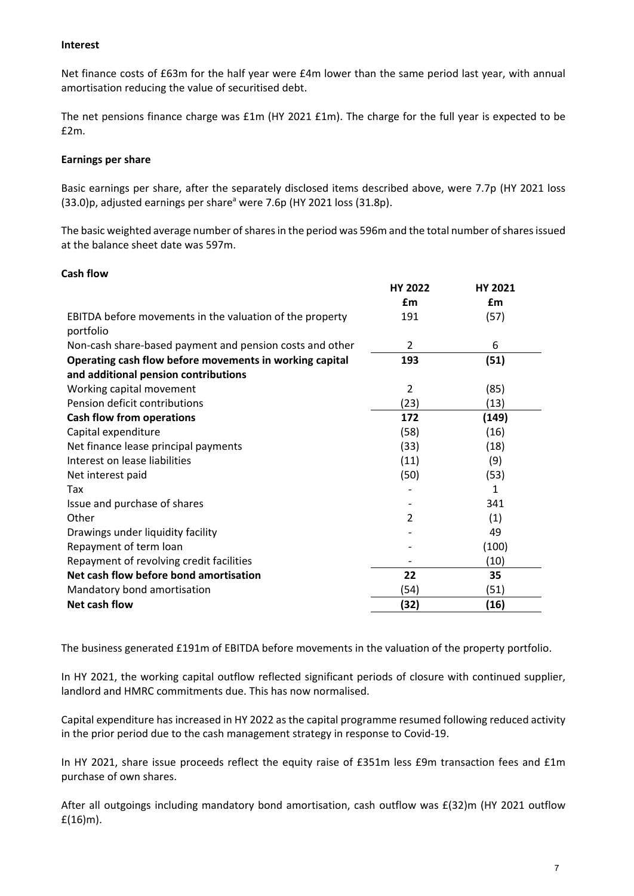# **Interest**

Net finance costs of £63m for the half year were £4m lower than the same period last year, with annual amortisation reducing the value of securitised debt.

The net pensions finance charge was £1m (HY 2021 £1m). The charge for the full year is expected to be £2m.

### **Earnings per share**

Basic earnings per share, after the separately disclosed items described above, were 7.7p (HY 2021 loss (33.0)p, adjusted earnings per share<sup>a</sup> were 7.6p (HY 2021 loss (31.8p).

The basic weighted average number of shares in the period was 596m and the total number of shares issued at the balance sheet date was 597m.

# **Cash flow**

|                                                          | <b>HY 2022</b> | <b>HY 2021</b> |
|----------------------------------------------------------|----------------|----------------|
|                                                          | £m             | £m             |
| EBITDA before movements in the valuation of the property | 191            | (57)           |
| portfolio                                                |                |                |
| Non-cash share-based payment and pension costs and other | 2              | 6              |
| Operating cash flow before movements in working capital  | 193            | (51)           |
| and additional pension contributions                     |                |                |
| Working capital movement                                 | $\overline{2}$ | (85)           |
| Pension deficit contributions                            | (23)           | (13)           |
| <b>Cash flow from operations</b>                         | 172            | (149)          |
| Capital expenditure                                      | (58)           | (16)           |
| Net finance lease principal payments                     | (33)           | (18)           |
| Interest on lease liabilities                            | (11)           | (9)            |
| Net interest paid                                        | (50)           | (53)           |
| Tax                                                      |                | 1              |
| Issue and purchase of shares                             |                | 341            |
| Other                                                    | 2              | (1)            |
| Drawings under liquidity facility                        |                | 49             |
| Repayment of term loan                                   |                | (100)          |
| Repayment of revolving credit facilities                 |                | (10)           |
| Net cash flow before bond amortisation                   | 22             | 35             |
| Mandatory bond amortisation                              | (54)           | (51)           |
| Net cash flow                                            | (32)           | (16)           |

The business generated £191m of EBITDA before movements in the valuation of the property portfolio.

In HY 2021, the working capital outflow reflected significant periods of closure with continued supplier, landlord and HMRC commitments due. This has now normalised.

Capital expenditure has increased in HY 2022 as the capital programme resumed following reduced activity in the prior period due to the cash management strategy in response to Covid-19.

In HY 2021, share issue proceeds reflect the equity raise of £351m less £9m transaction fees and £1m purchase of own shares.

After all outgoings including mandatory bond amortisation, cash outflow was £(32)m (HY 2021 outflow £(16)m).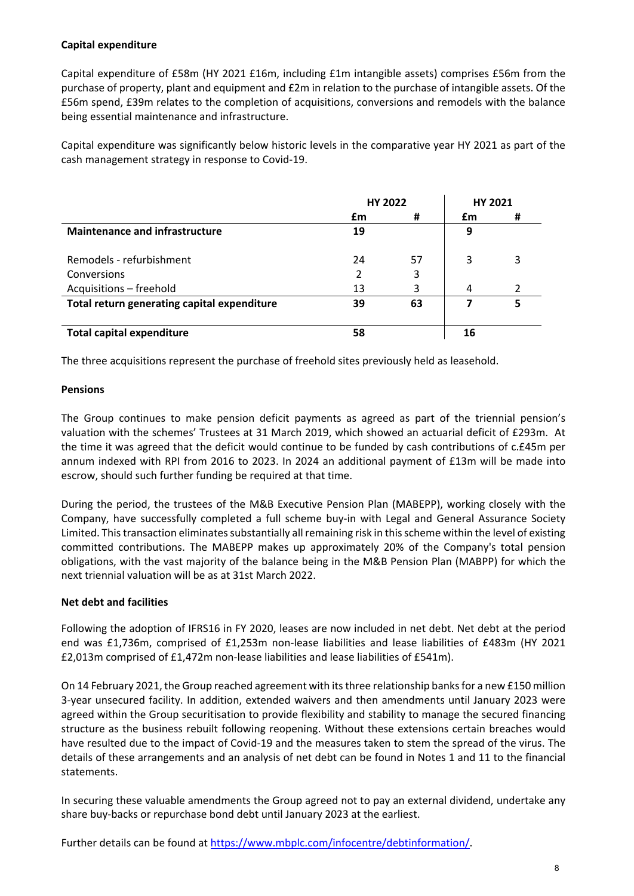# **Capital expenditure**

Capital expenditure of £58m (HY 2021 £16m, including £1m intangible assets) comprises £56m from the purchase of property, plant and equipment and £2m in relation to the purchase of intangible assets. Of the £56m spend, £39m relates to the completion of acquisitions, conversions and remodels with the balance being essential maintenance and infrastructure.

Capital expenditure was significantly below historic levels in the comparative year HY 2021 as part of the cash management strategy in response to Covid-19.

|                                             | <b>HY 2022</b> |    | <b>HY 2021</b> |   |
|---------------------------------------------|----------------|----|----------------|---|
|                                             | £m             | #  | £m             | # |
| <b>Maintenance and infrastructure</b>       | 19             |    | 9              |   |
| Remodels - refurbishment                    | 24             | 57 | 3              | 3 |
| Conversions                                 | 2              | 3  |                |   |
| Acquisitions - freehold                     | 13             | 3  | 4              | 2 |
| Total return generating capital expenditure | 39             | 63 |                | 5 |
| <b>Total capital expenditure</b>            | 58             |    | 16             |   |

The three acquisitions represent the purchase of freehold sites previously held as leasehold.

# **Pensions**

The Group continues to make pension deficit payments as agreed as part of the triennial pension's valuation with the schemes' Trustees at 31 March 2019, which showed an actuarial deficit of £293m. At the time it was agreed that the deficit would continue to be funded by cash contributions of c.£45m per annum indexed with RPI from 2016 to 2023. In 2024 an additional payment of £13m will be made into escrow, should such further funding be required at that time.

During the period, the trustees of the M&B Executive Pension Plan (MABEPP), working closely with the Company, have successfully completed a full scheme buy-in with Legal and General Assurance Society Limited. This transaction eliminates substantially all remaining risk in this scheme within the level of existing committed contributions. The MABEPP makes up approximately 20% of the Company's total pension obligations, with the vast majority of the balance being in the M&B Pension Plan (MABPP) for which the next triennial valuation will be as at 31st March 2022.

# **Net debt and facilities**

Following the adoption of IFRS16 in FY 2020, leases are now included in net debt. Net debt at the period end was £1,736m, comprised of £1,253m non-lease liabilities and lease liabilities of £483m (HY 2021 £2,013m comprised of £1,472m non-lease liabilities and lease liabilities of £541m).

On 14 February 2021, the Group reached agreement with its three relationship banks for a new £150 million 3-year unsecured facility. In addition, extended waivers and then amendments until January 2023 were agreed within the Group securitisation to provide flexibility and stability to manage the secured financing structure as the business rebuilt following reopening. Without these extensions certain breaches would have resulted due to the impact of Covid-19 and the measures taken to stem the spread of the virus. The details of these arrangements and an analysis of net debt can be found in Notes 1 and 11 to the financial statements.

In securing these valuable amendments the Group agreed not to pay an external dividend, undertake any share buy-backs or repurchase bond debt until January 2023 at the earliest.

Further details can be found at [https://www.mbplc.com/infocentre/debtinformation/.](https://www.mbplc.com/infocentre/debtinformation/)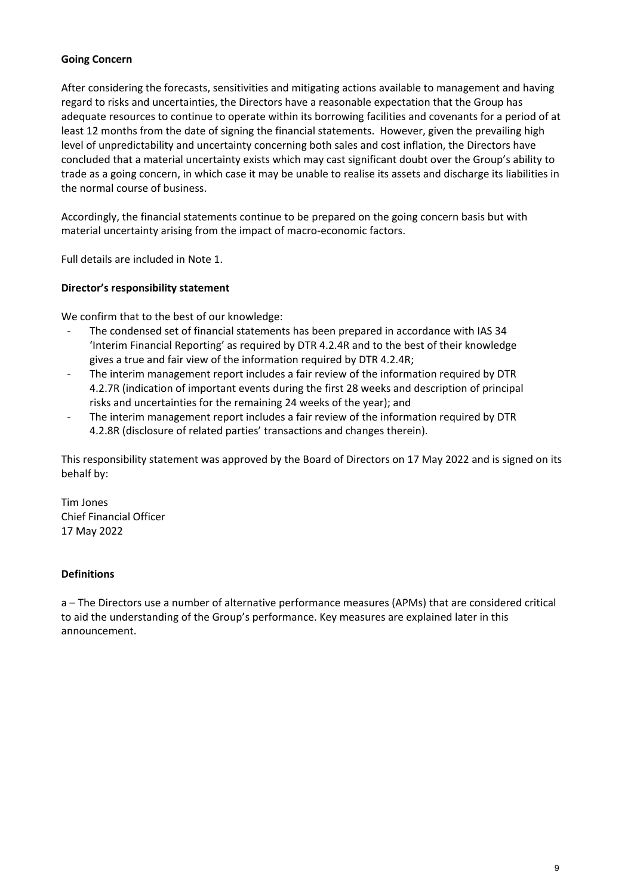# **Going Concern**

After considering the forecasts, sensitivities and mitigating actions available to management and having regard to risks and uncertainties, the Directors have a reasonable expectation that the Group has adequate resources to continue to operate within its borrowing facilities and covenants for a period of at least 12 months from the date of signing the financial statements. However, given the prevailing high level of unpredictability and uncertainty concerning both sales and cost inflation, the Directors have concluded that a material uncertainty exists which may cast significant doubt over the Group's ability to trade as a going concern, in which case it may be unable to realise its assets and discharge its liabilities in the normal course of business.

Accordingly, the financial statements continue to be prepared on the going concern basis but with material uncertainty arising from the impact of macro-economic factors.

Full details are included in Note 1.

# **Director's responsibility statement**

We confirm that to the best of our knowledge:

- The condensed set of financial statements has been prepared in accordance with IAS 34 'Interim Financial Reporting' as required by DTR 4.2.4R and to the best of their knowledge gives a true and fair view of the information required by DTR 4.2.4R;
- The interim management report includes a fair review of the information required by DTR 4.2.7R (indication of important events during the first 28 weeks and description of principal risks and uncertainties for the remaining 24 weeks of the year); and
- The interim management report includes a fair review of the information required by DTR 4.2.8R (disclosure of related parties' transactions and changes therein).

This responsibility statement was approved by the Board of Directors on 17 May 2022 and is signed on its behalf by:

Tim Jones Chief Financial Officer 17 May 2022

# **Definitions**

a – The Directors use a number of alternative performance measures (APMs) that are considered critical to aid the understanding of the Group's performance. Key measures are explained later in this announcement.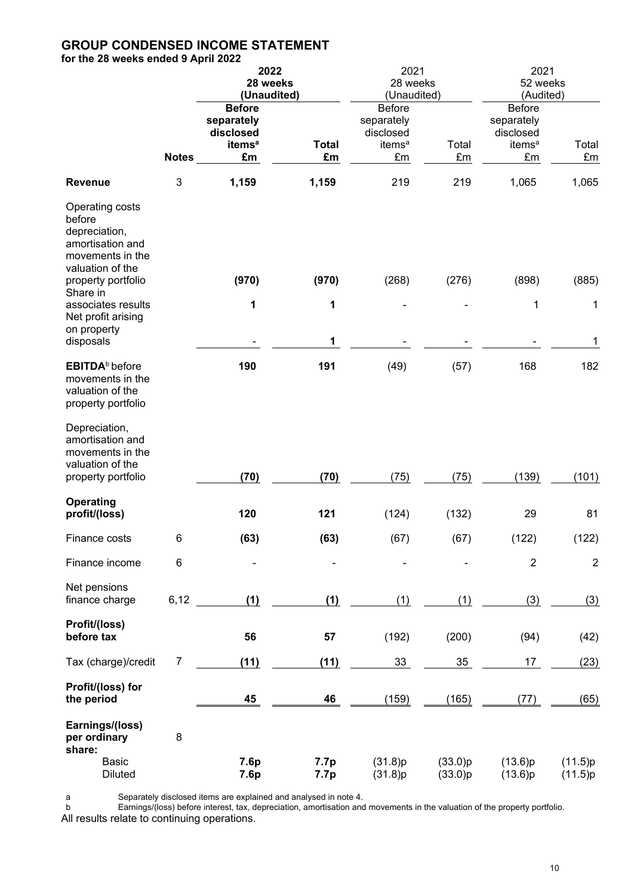# **GROUP CONDENSED INCOME STATEMENT**

**for the 28 weeks ended 9 April 2022**

|                                                                                                                              |                           | 2022<br>28 weeks<br>(Unaudited)                                      |                    | 2021<br>28 weeks<br>(Unaudited)                                      |                    | 2021<br>52 weeks<br>(Audited)                                        |                    |  |
|------------------------------------------------------------------------------------------------------------------------------|---------------------------|----------------------------------------------------------------------|--------------------|----------------------------------------------------------------------|--------------------|----------------------------------------------------------------------|--------------------|--|
|                                                                                                                              | <b>Notes</b>              | <b>Before</b><br>separately<br>disclosed<br>items <sup>a</sup><br>£m | <b>Total</b><br>£m | <b>Before</b><br>separately<br>disclosed<br>items <sup>a</sup><br>£m | Total<br>£m        | <b>Before</b><br>separately<br>disclosed<br>items <sup>a</sup><br>£m | Total<br>£m        |  |
| <b>Revenue</b>                                                                                                               | $\ensuremath{\mathsf{3}}$ | 1,159                                                                | 1,159              | 219                                                                  | 219                | 1,065                                                                | 1,065              |  |
| Operating costs<br>before<br>depreciation,<br>amortisation and<br>movements in the<br>valuation of the<br>property portfolio |                           | (970)                                                                | (970)              | (268)                                                                | (276)              | (898)                                                                | (885)              |  |
| Share in<br>associates results                                                                                               |                           | 1                                                                    | 1                  |                                                                      |                    | 1                                                                    | 1                  |  |
| Net profit arising                                                                                                           |                           |                                                                      |                    |                                                                      |                    |                                                                      |                    |  |
| on property<br>disposals                                                                                                     |                           |                                                                      | 1                  |                                                                      |                    |                                                                      | 1                  |  |
| EBITDA <sup>b</sup> before<br>movements in the<br>valuation of the<br>property portfolio                                     |                           | 190                                                                  | 191                | (49)                                                                 | (57)               | 168                                                                  | 182                |  |
| Depreciation,<br>amortisation and<br>movements in the<br>valuation of the<br>property portfolio                              |                           | (70)                                                                 | (70)               | (75)                                                                 | (75)               | (139)                                                                | (101)              |  |
| <b>Operating</b>                                                                                                             |                           |                                                                      |                    |                                                                      |                    |                                                                      |                    |  |
| profit/(loss)                                                                                                                |                           | 120                                                                  | 121                | (124)                                                                | (132)              | 29                                                                   | 81                 |  |
| Finance costs                                                                                                                | 6                         | (63)                                                                 | (63)               | (67)                                                                 | (67)               | (122)                                                                | (122)              |  |
| Finance income                                                                                                               | 6                         |                                                                      |                    |                                                                      |                    | $\overline{2}$                                                       | $\overline{2}$     |  |
| Net pensions<br>finance charge                                                                                               | 6,12                      | (1)                                                                  | (1)                | (1)                                                                  | (1)                | (3)                                                                  | (3)                |  |
| Profit/(loss)<br>before tax                                                                                                  |                           | 56                                                                   | 57                 | (192)                                                                | (200)              | (94)                                                                 | (42)               |  |
| Tax (charge)/credit                                                                                                          | 7                         | (11)                                                                 | (11)               | 33                                                                   | 35                 | 17                                                                   | (23)               |  |
| Profit/(loss) for<br>the period                                                                                              |                           | 45                                                                   | 46                 | (159)                                                                | (165)              | (77)                                                                 | (65)               |  |
| Earnings/(loss)<br>per ordinary<br>share:                                                                                    | $\bf 8$                   |                                                                      |                    |                                                                      |                    |                                                                      |                    |  |
| <b>Basic</b><br><b>Diluted</b>                                                                                               |                           | 7.6p<br>7.6p                                                         | 7.7p<br>7.7p       | (31.8)p<br>(31.8)p                                                   | (33.0)p<br>(33.0)p | (13.6)p<br>(13.6)p                                                   | (11.5)p<br>(11.5)p |  |

a Separately disclosed items are explained and analysed in note 4.

b Earnings/(loss) before interest, tax, depreciation, amortisation and movements in the valuation of the property portfolio. All results relate to continuing operations.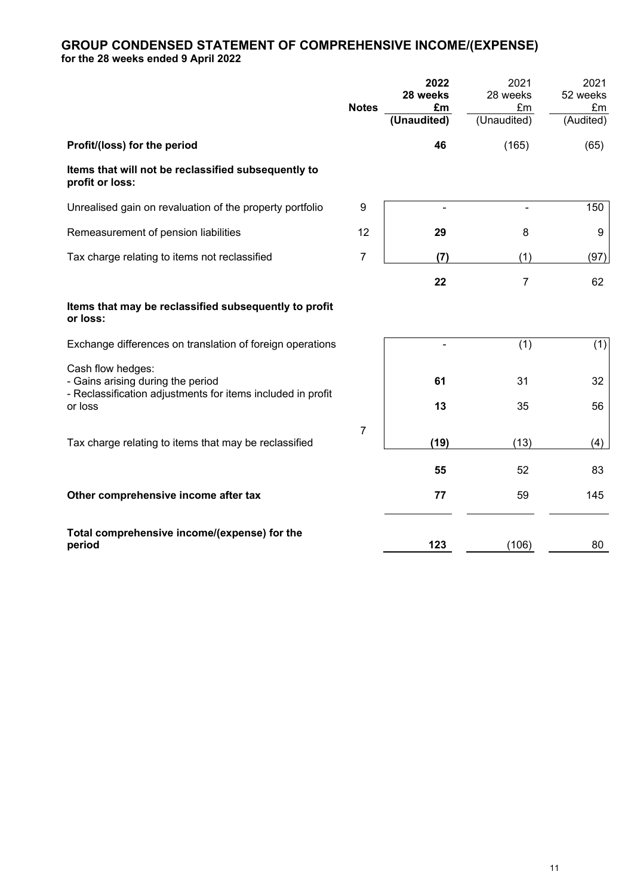# **GROUP CONDENSED STATEMENT OF COMPREHENSIVE INCOME/(EXPENSE) for the 28 weeks ended 9 April 2022**

|                                                                                                                                  | <b>Notes</b> | 2022<br>28 weeks<br>£m<br>(Unaudited) | 2021<br>28 weeks<br>£m<br>(Unaudited) | 2021<br>52 weeks<br>£m<br>(Audited) |
|----------------------------------------------------------------------------------------------------------------------------------|--------------|---------------------------------------|---------------------------------------|-------------------------------------|
| Profit/(loss) for the period                                                                                                     |              | 46                                    | (165)                                 | (65)                                |
| Items that will not be reclassified subsequently to<br>profit or loss:                                                           |              |                                       |                                       |                                     |
| Unrealised gain on revaluation of the property portfolio                                                                         | 9            | $\overline{\phantom{a}}$              | $\blacksquare$                        | 150                                 |
| Remeasurement of pension liabilities                                                                                             | 12           | 29                                    | 8                                     | 9                                   |
| Tax charge relating to items not reclassified                                                                                    | 7            | (7)                                   | (1)                                   | (97)                                |
|                                                                                                                                  |              | 22                                    | 7                                     | 62                                  |
| Items that may be reclassified subsequently to profit<br>or loss:                                                                |              |                                       |                                       |                                     |
| Exchange differences on translation of foreign operations                                                                        |              |                                       | (1)                                   | (1)                                 |
| Cash flow hedges:<br>- Gains arising during the period<br>- Reclassification adjustments for items included in profit<br>or loss |              | 61<br>13                              | 31<br>35                              | 32<br>56                            |
| Tax charge relating to items that may be reclassified                                                                            | 7            | (19)                                  | (13)                                  | (4)                                 |
|                                                                                                                                  |              | 55                                    | 52                                    | 83                                  |
| Other comprehensive income after tax                                                                                             |              | 77                                    | 59                                    | 145                                 |
| Total comprehensive income/(expense) for the<br>period                                                                           |              | 123                                   | (106)                                 | 80                                  |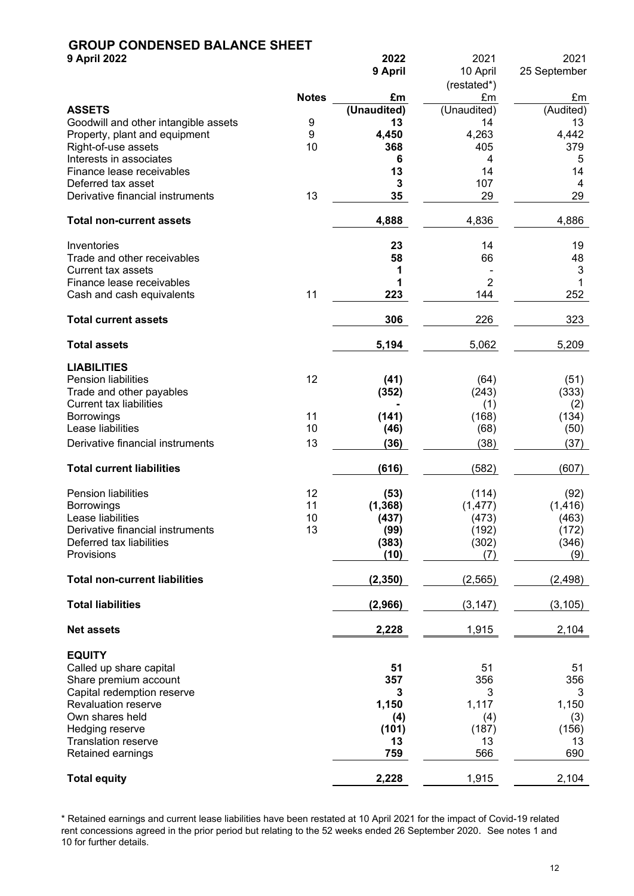# **GROUP CONDENSED BALANCE SHEET**

| <b>9 April 2022</b>                                   |              | 2022              | 2021              | 2021            |
|-------------------------------------------------------|--------------|-------------------|-------------------|-----------------|
|                                                       |              | 9 April           | 10 April          | 25 September    |
|                                                       |              |                   | (restated*)       |                 |
|                                                       | <b>Notes</b> | £m                | £m                | £m              |
| <b>ASSETS</b><br>Goodwill and other intangible assets | 9            | (Unaudited)<br>13 | (Unaudited)<br>14 | (Audited)<br>13 |
| Property, plant and equipment                         | 9            | 4,450             | 4,263             | 4,442           |
| Right-of-use assets                                   | 10           | 368               | 405               | 379             |
| Interests in associates                               |              | 6                 | 4                 | 5               |
| Finance lease receivables                             |              | 13                | 14                | 14              |
| Deferred tax asset                                    |              | 3                 | 107               | 4               |
| Derivative financial instruments                      | 13           | 35                | 29                | 29              |
| <b>Total non-current assets</b>                       |              | 4,888             | 4,836             | 4,886           |
| Inventories                                           |              | 23                | 14                | 19              |
| Trade and other receivables                           |              | 58                | 66                | 48              |
| <b>Current tax assets</b>                             |              | 1                 |                   | 3               |
| Finance lease receivables                             |              | 1                 | $\overline{2}$    |                 |
| Cash and cash equivalents                             | 11           | 223               | 144               | 252             |
| <b>Total current assets</b>                           |              | 306               | 226               | 323             |
| <b>Total assets</b>                                   |              | 5,194             | 5,062             | 5,209           |
| <b>LIABILITIES</b>                                    |              |                   |                   |                 |
| <b>Pension liabilities</b>                            | 12           | (41)              | (64)              | (51)            |
| Trade and other payables                              |              | (352)             | (243)             | (333)           |
| <b>Current tax liabilities</b>                        |              |                   | (1)               | (2)             |
| <b>Borrowings</b>                                     | 11           | (141)             | (168)             | (134)           |
| Lease liabilities                                     | 10           | (46)              | (68)              | (50)            |
| Derivative financial instruments                      | 13           | (36)              | (38)              | (37)            |
| <b>Total current liabilities</b>                      |              | (616)             | (582)             | (607)           |
| Pension liabilities                                   | 12           | (53)              | (114)             | (92)            |
| <b>Borrowings</b>                                     | 11           | (1, 368)          | (1, 477)          | (1, 416)        |
| Lease liabilities                                     | 10           | (437)             | (473)             | (463)           |
| Derivative financial instruments                      | 13           | (99)              | (192)             | (172)           |
| Deferred tax liabilities                              |              | (383)             | (302)             | (346)           |
| Provisions                                            |              | (10)              | (7)               | (9)             |
| <b>Total non-current liabilities</b>                  |              | (2, 350)          | (2, 565)          | (2, 498)        |
| <b>Total liabilities</b>                              |              | (2,966)           | (3, 147)          | (3, 105)        |
| <b>Net assets</b>                                     |              | 2,228             | 1,915             | 2,104           |
| <b>EQUITY</b>                                         |              |                   |                   |                 |
| Called up share capital                               |              | 51                | 51                | 51              |
| Share premium account                                 |              | 357               | 356               | 356             |
| Capital redemption reserve                            |              | 3                 | 3                 | 3               |
| <b>Revaluation reserve</b>                            |              | 1,150             | 1,117             | 1,150           |
| Own shares held                                       |              | (4)               | (4)               | (3)             |
| Hedging reserve                                       |              | (101)             | (187)             | (156)           |
| <b>Translation reserve</b>                            |              | 13                | 13                | 13              |
| Retained earnings                                     |              | 759               | 566               | 690             |
| <b>Total equity</b>                                   |              | 2,228             | 1,915             | 2,104           |

\* Retained earnings and current lease liabilities have been restated at 10 April 2021 for the impact of Covid-19 related rent concessions agreed in the prior period but relating to the 52 weeks ended 26 September 2020. See notes 1 and 10 for further details.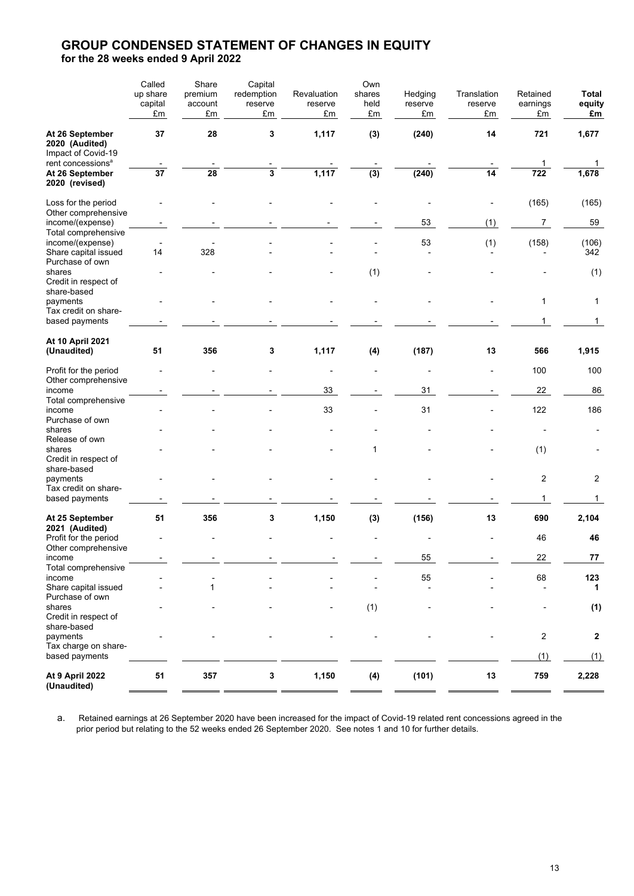# **GROUP CONDENSED STATEMENT OF CHANGES IN EQUITY for the 28 weeks ended 9 April 2022**

|                                                                                          | Called          | Share         | Capital       |               | Own        |               |                 |                |              |
|------------------------------------------------------------------------------------------|-----------------|---------------|---------------|---------------|------------|---------------|-----------------|----------------|--------------|
|                                                                                          | up share        | premium       | redemption    | Revaluation   | shares     | Hedging       | Translation     | Retained       | Total        |
|                                                                                          | capital<br>£m   | account<br>£m | reserve<br>£m | reserve<br>£m | held<br>£m | reserve<br>£m | reserve<br>£m   | earnings<br>£m | equity<br>£m |
| At 26 September<br>2020 (Audited)<br>Impact of Covid-19<br>rent concessions <sup>a</sup> | 37              | 28            | 3             | 1,117         | (3)        | (240)         | 14              | 721            | 1,677        |
| At 26 September<br>2020 (revised)                                                        | $\overline{37}$ | 28            | 3             | 1,117         | (3)        | (240)         | $\overline{14}$ | 1<br>722       | 1<br>1,678   |
| Loss for the period<br>Other comprehensive                                               |                 |               |               |               |            |               |                 | (165)          | (165)        |
| income/(expense)<br>Total comprehensive                                                  |                 |               |               |               |            | 53            | (1)             | 7              | 59           |
| income/(expense)<br>Share capital issued<br>Purchase of own                              | 14              | 328           |               |               |            | 53            | (1)             | (158)          | (106)<br>342 |
| shares<br>Credit in respect of<br>share-based                                            |                 |               |               |               | (1)        |               |                 |                | (1)          |
| payments<br>Tax credit on share-                                                         |                 |               |               |               |            |               |                 | 1              | 1            |
| based payments                                                                           |                 |               |               |               |            |               |                 | 1              | 1            |
| At 10 April 2021<br>(Unaudited)                                                          | 51              | 356           | 3             | 1,117         | (4)        | (187)         | 13              | 566            | 1,915        |
| Profit for the period<br>Other comprehensive                                             |                 |               |               |               |            | ٠             |                 | 100            | 100          |
| income                                                                                   |                 |               |               | 33            |            | 31            |                 | 22             | 86           |
| Total comprehensive<br>income                                                            |                 |               |               | 33            |            | 31            |                 | 122            | 186          |
| Purchase of own<br>shares                                                                |                 |               |               |               |            |               |                 |                |              |
| Release of own<br>shares<br>Credit in respect of<br>share-based                          |                 |               |               |               | 1          |               |                 | (1)            |              |
| payments<br>Tax credit on share-                                                         |                 |               |               |               |            |               |                 | $\overline{c}$ | 2            |
| based payments                                                                           |                 |               |               |               |            |               |                 | 1              | 1            |
| At 25 September<br>2021 (Audited)                                                        | 51              | 356           | 3             | 1,150         | (3)        | (156)         | 13              | 690            | 2,104        |
| Profit for the period<br>Other comprehensive                                             |                 |               |               |               |            |               |                 | 46             | 46           |
| income<br>Total comprehensive                                                            |                 |               |               |               |            | 55            |                 | 22             | ${\bf 77}$   |
| income                                                                                   |                 |               |               |               |            | 55            |                 | 68             | 123          |
| Share capital issued<br>Purchase of own                                                  |                 | 1             |               |               |            |               |                 |                | 1            |
| shares<br>Credit in respect of<br>share-based                                            |                 |               |               |               | (1)        |               |                 |                | (1)          |
| payments<br>Tax charge on share-                                                         |                 |               |               |               |            |               |                 | $\sqrt{2}$     | 2            |
| based payments                                                                           |                 |               |               |               |            |               |                 | (1)            | (1)          |
| <b>At 9 April 2022</b><br>(Unaudited)                                                    | 51              | 357           | 3             | 1,150         | (4)        | (101)         | 13              | 759            | 2,228        |

a. Retained earnings at 26 September 2020 have been increased for the impact of Covid-19 related rent concessions agreed in the prior period but relating to the 52 weeks ended 26 September 2020. See notes 1 and 10 for further details.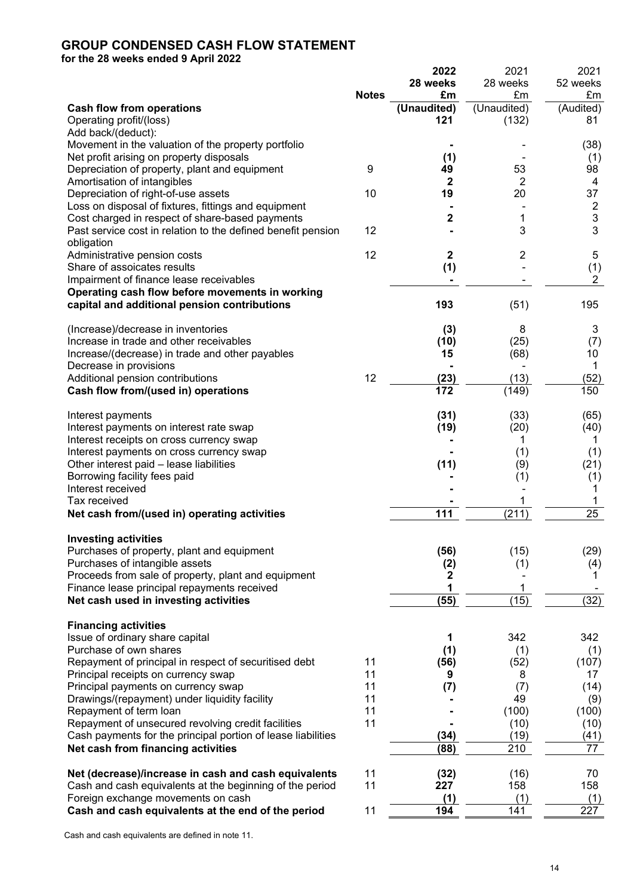# **GROUP CONDENSED CASH FLOW STATEMENT**

**for the 28 weeks ended 9 April 2022**

|                                                              |              | 2022         | 2021        | 2021            |
|--------------------------------------------------------------|--------------|--------------|-------------|-----------------|
|                                                              |              | 28 weeks     | 28 weeks    | 52 weeks        |
|                                                              | <b>Notes</b> | £m           | £m          | £m              |
|                                                              |              | (Unaudited)  | (Unaudited) | (Audited)       |
| Cash flow from operations                                    |              |              |             |                 |
| Operating profit/(loss)                                      |              | 121          | (132)       | 81              |
| Add back/(deduct):                                           |              |              |             |                 |
| Movement in the valuation of the property portfolio          |              |              |             | (38)            |
| Net profit arising on property disposals                     |              | (1)          |             | (1)             |
| Depreciation of property, plant and equipment                | 9            | 49           | 53          | 98              |
|                                                              |              | $\mathbf{2}$ |             |                 |
| Amortisation of intangibles                                  |              |              | 2           | 4               |
| Depreciation of right-of-use assets                          | 10           | 19           | 20          | 37              |
| Loss on disposal of fixtures, fittings and equipment         |              |              |             | $\frac{2}{3}$   |
| Cost charged in respect of share-based payments              |              | 2            | 1           |                 |
| Past service cost in relation to the defined benefit pension | 12           |              | 3           | 3               |
|                                                              |              |              |             |                 |
| obligation                                                   |              |              |             |                 |
| Administrative pension costs                                 | 12           | 2            | 2           | 5               |
| Share of assoicates results                                  |              | (1)          |             | (1)             |
| Impairment of finance lease receivables                      |              |              |             | $\overline{2}$  |
| Operating cash flow before movements in working              |              |              |             |                 |
|                                                              |              | 193          | (51)        | 195             |
| capital and additional pension contributions                 |              |              |             |                 |
|                                                              |              |              |             |                 |
| (Increase)/decrease in inventories                           |              | (3)          | 8           | 3               |
| Increase in trade and other receivables                      |              | (10)         | (25)        | (7)             |
| Increase/(decrease) in trade and other payables              |              | 15           | (68)        | 10              |
| Decrease in provisions                                       |              |              |             | 1               |
|                                                              |              |              |             |                 |
| Additional pension contributions                             | 12           | (23)         | (13)        | (52)            |
| Cash flow from/(used in) operations                          |              | 172          | (149)       | 150             |
|                                                              |              |              |             |                 |
| Interest payments                                            |              | (31)         | (33)        | (65)            |
| Interest payments on interest rate swap                      |              | (19)         | (20)        | (40)            |
|                                                              |              |              |             |                 |
| Interest receipts on cross currency swap                     |              |              | 1           | 1               |
| Interest payments on cross currency swap                     |              |              | (1)         | (1)             |
| Other interest paid - lease liabilities                      |              | (11)         | (9)         | (21)            |
| Borrowing facility fees paid                                 |              |              | (1)         | (1)             |
| Interest received                                            |              |              |             | 1               |
| Tax received                                                 |              |              |             |                 |
|                                                              |              |              |             |                 |
| Net cash from/(used in) operating activities                 |              | 111          | (211)       | $\overline{25}$ |
|                                                              |              |              |             |                 |
| <b>Investing activities</b>                                  |              |              |             |                 |
| Purchases of property, plant and equipment                   |              | (56)         | (15)        | (29)            |
| Purchases of intangible assets                               |              | (2)          | (1)         | (4)             |
|                                                              |              |              |             |                 |
| Proceeds from sale of property, plant and equipment          |              | 2            |             | 1               |
| Finance lease principal repayments received                  |              | 1            | 1           |                 |
| Net cash used in investing activities                        |              | (55)         | (15)        | (32)            |
|                                                              |              |              |             |                 |
| <b>Financing activities</b>                                  |              |              |             |                 |
| Issue of ordinary share capital                              |              | 1            | 342         | 342             |
|                                                              |              |              |             |                 |
| Purchase of own shares                                       |              | (1)          | (1)         | (1)             |
| Repayment of principal in respect of securitised debt        | 11           | (56)         | (52)        | (107)           |
| Principal receipts on currency swap                          | 11           | 9            | 8           | 17              |
| Principal payments on currency swap                          | 11           | (7)          | (7)         | (14)            |
| Drawings/(repayment) under liquidity facility                | 11           |              | 49          |                 |
|                                                              |              |              |             | (9)             |
| Repayment of term loan                                       | 11           |              | (100)       | (100)           |
| Repayment of unsecured revolving credit facilities           | 11           |              | (10)        | (10)            |
| Cash payments for the principal portion of lease liabilities |              | (34)         | (19)        | (41)            |
| Net cash from financing activities                           |              | (88)         | 210         | 77              |
|                                                              |              |              |             |                 |
| Net (decrease)/increase in cash and cash equivalents         | 11           | (32)         | (16)        | 70              |
|                                                              |              |              |             |                 |
| Cash and cash equivalents at the beginning of the period     | 11           | 227          | 158         | 158             |
| Foreign exchange movements on cash                           |              | (1)          | (1)         | (1)             |
| Cash and cash equivalents at the end of the period           | 11           | 194          | 141         | 227             |
|                                                              |              |              |             |                 |

Cash and cash equivalents are defined in note 11.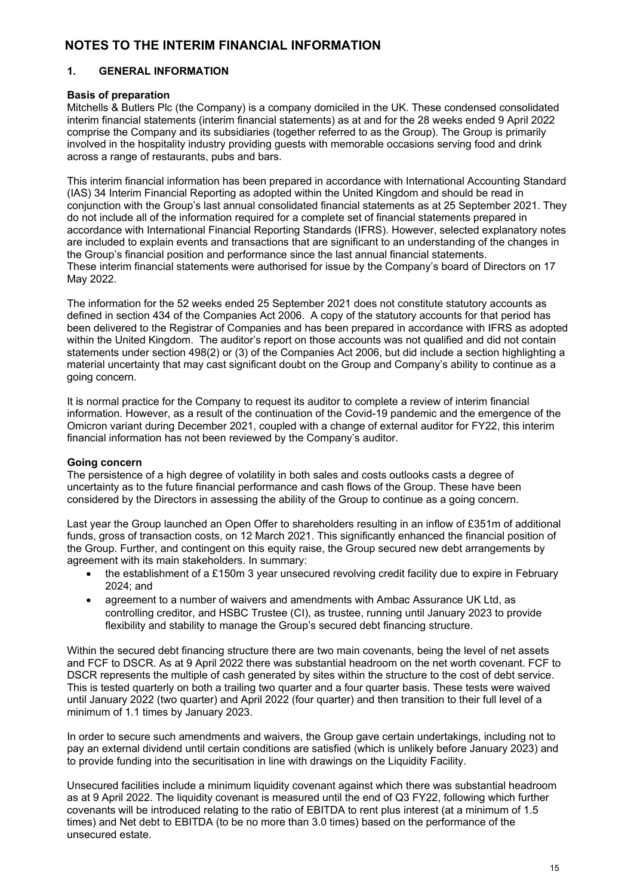# **NOTES TO THE INTERIM FINANCIAL INFORMATION**

# **1. GENERAL INFORMATION**

# **Basis of preparation**

Mitchells & Butlers Plc (the Company) is a company domiciled in the UK. These condensed consolidated interim financial statements (interim financial statements) as at and for the 28 weeks ended 9 April 2022 comprise the Company and its subsidiaries (together referred to as the Group). The Group is primarily involved in the hospitality industry providing guests with memorable occasions serving food and drink across a range of restaurants, pubs and bars.

This interim financial information has been prepared in accordance with International Accounting Standard (IAS) 34 Interim Financial Reporting as adopted within the United Kingdom and should be read in conjunction with the Group's last annual consolidated financial statements as at 25 September 2021. They do not include all of the information required for a complete set of financial statements prepared in accordance with International Financial Reporting Standards (IFRS). However, selected explanatory notes are included to explain events and transactions that are significant to an understanding of the changes in the Group's financial position and performance since the last annual financial statements. These interim financial statements were authorised for issue by the Company's board of Directors on 17 May 2022.

The information for the 52 weeks ended 25 September 2021 does not constitute statutory accounts as defined in section 434 of the Companies Act 2006. A copy of the statutory accounts for that period has been delivered to the Registrar of Companies and has been prepared in accordance with IFRS as adopted within the United Kingdom. The auditor's report on those accounts was not qualified and did not contain statements under section 498(2) or (3) of the Companies Act 2006, but did include a section highlighting a material uncertainty that may cast significant doubt on the Group and Company's ability to continue as a going concern.

It is normal practice for the Company to request its auditor to complete a review of interim financial information. However, as a result of the continuation of the Covid-19 pandemic and the emergence of the Omicron variant during December 2021, coupled with a change of external auditor for FY22, this interim financial information has not been reviewed by the Company's auditor.

# **Going concern**

The persistence of a high degree of volatility in both sales and costs outlooks casts a degree of uncertainty as to the future financial performance and cash flows of the Group. These have been considered by the Directors in assessing the ability of the Group to continue as a going concern.

Last year the Group launched an Open Offer to shareholders resulting in an inflow of £351m of additional funds, gross of transaction costs, on 12 March 2021. This significantly enhanced the financial position of the Group. Further, and contingent on this equity raise, the Group secured new debt arrangements by agreement with its main stakeholders. In summary:

- the establishment of a £150m 3 year unsecured revolving credit facility due to expire in February 2024; and
- agreement to a number of waivers and amendments with Ambac Assurance UK Ltd, as controlling creditor, and HSBC Trustee (CI), as trustee, running until January 2023 to provide flexibility and stability to manage the Group's secured debt financing structure.

Within the secured debt financing structure there are two main covenants, being the level of net assets and FCF to DSCR. As at 9 April 2022 there was substantial headroom on the net worth covenant. FCF to DSCR represents the multiple of cash generated by sites within the structure to the cost of debt service. This is tested quarterly on both a trailing two quarter and a four quarter basis. These tests were waived until January 2022 (two quarter) and April 2022 (four quarter) and then transition to their full level of a minimum of 1.1 times by January 2023.

In order to secure such amendments and waivers, the Group gave certain undertakings, including not to pay an external dividend until certain conditions are satisfied (which is unlikely before January 2023) and to provide funding into the securitisation in line with drawings on the Liquidity Facility.

Unsecured facilities include a minimum liquidity covenant against which there was substantial headroom as at 9 April 2022. The liquidity covenant is measured until the end of Q3 FY22, following which further covenants will be introduced relating to the ratio of EBITDA to rent plus interest (at a minimum of 1.5 times) and Net debt to EBITDA (to be no more than 3.0 times) based on the performance of the unsecured estate.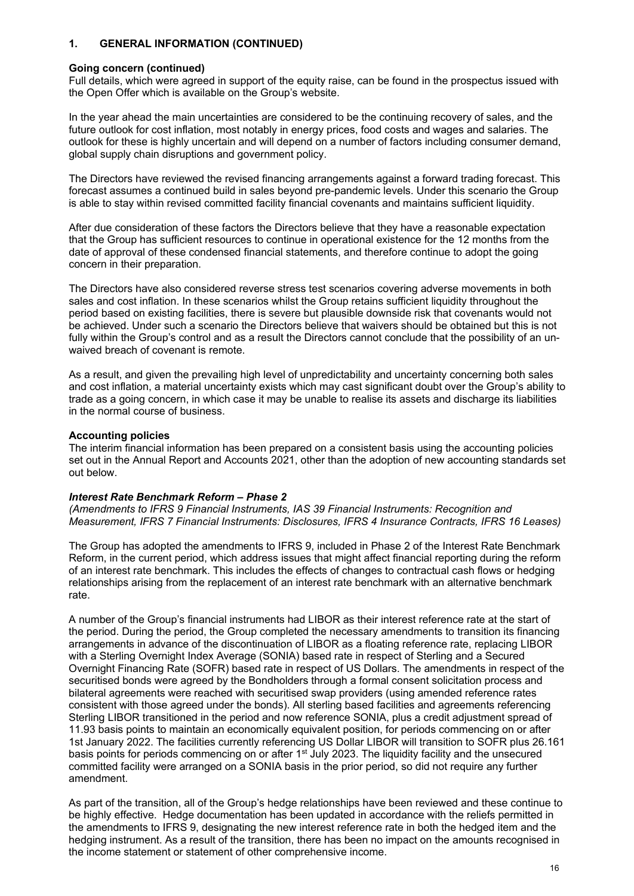# **1. GENERAL INFORMATION (CONTINUED)**

### **Going concern (continued)**

Full details, which were agreed in support of the equity raise, can be found in the prospectus issued with the Open Offer which is available on the Group's website.

In the year ahead the main uncertainties are considered to be the continuing recovery of sales, and the future outlook for cost inflation, most notably in energy prices, food costs and wages and salaries. The outlook for these is highly uncertain and will depend on a number of factors including consumer demand, global supply chain disruptions and government policy.

The Directors have reviewed the revised financing arrangements against a forward trading forecast. This forecast assumes a continued build in sales beyond pre-pandemic levels. Under this scenario the Group is able to stay within revised committed facility financial covenants and maintains sufficient liquidity.

After due consideration of these factors the Directors believe that they have a reasonable expectation that the Group has sufficient resources to continue in operational existence for the 12 months from the date of approval of these condensed financial statements, and therefore continue to adopt the going concern in their preparation.

The Directors have also considered reverse stress test scenarios covering adverse movements in both sales and cost inflation. In these scenarios whilst the Group retains sufficient liquidity throughout the period based on existing facilities, there is severe but plausible downside risk that covenants would not be achieved. Under such a scenario the Directors believe that waivers should be obtained but this is not fully within the Group's control and as a result the Directors cannot conclude that the possibility of an unwaived breach of covenant is remote.

As a result, and given the prevailing high level of unpredictability and uncertainty concerning both sales and cost inflation, a material uncertainty exists which may cast significant doubt over the Group's ability to trade as a going concern, in which case it may be unable to realise its assets and discharge its liabilities in the normal course of business.

# **Accounting policies**

The interim financial information has been prepared on a consistent basis using the accounting policies set out in the Annual Report and Accounts 2021, other than the adoption of new accounting standards set out below.

# *Interest Rate Benchmark Reform – Phase 2*

*(Amendments to IFRS 9 Financial Instruments, IAS 39 Financial Instruments: Recognition and Measurement, IFRS 7 Financial Instruments: Disclosures, IFRS 4 Insurance Contracts, IFRS 16 Leases)*

The Group has adopted the amendments to IFRS 9, included in Phase 2 of the Interest Rate Benchmark Reform, in the current period, which address issues that might affect financial reporting during the reform of an interest rate benchmark. This includes the effects of changes to contractual cash flows or hedging relationships arising from the replacement of an interest rate benchmark with an alternative benchmark rate.

A number of the Group's financial instruments had LIBOR as their interest reference rate at the start of the period. During the period, the Group completed the necessary amendments to transition its financing arrangements in advance of the discontinuation of LIBOR as a floating reference rate, replacing LIBOR with a Sterling Overnight Index Average (SONIA) based rate in respect of Sterling and a Secured Overnight Financing Rate (SOFR) based rate in respect of US Dollars. The amendments in respect of the securitised bonds were agreed by the Bondholders through a formal consent solicitation process and bilateral agreements were reached with securitised swap providers (using amended reference rates consistent with those agreed under the bonds). All sterling based facilities and agreements referencing Sterling LIBOR transitioned in the period and now reference SONIA, plus a credit adjustment spread of 11.93 basis points to maintain an economically equivalent position, for periods commencing on or after 1st January 2022. The facilities currently referencing US Dollar LIBOR will transition to SOFR plus 26.161 basis points for periods commencing on or after 1<sup>st</sup> July 2023. The liquidity facility and the unsecured committed facility were arranged on a SONIA basis in the prior period, so did not require any further amendment.

As part of the transition, all of the Group's hedge relationships have been reviewed and these continue to be highly effective. Hedge documentation has been updated in accordance with the reliefs permitted in the amendments to IFRS 9, designating the new interest reference rate in both the hedged item and the hedging instrument. As a result of the transition, there has been no impact on the amounts recognised in the income statement or statement of other comprehensive income.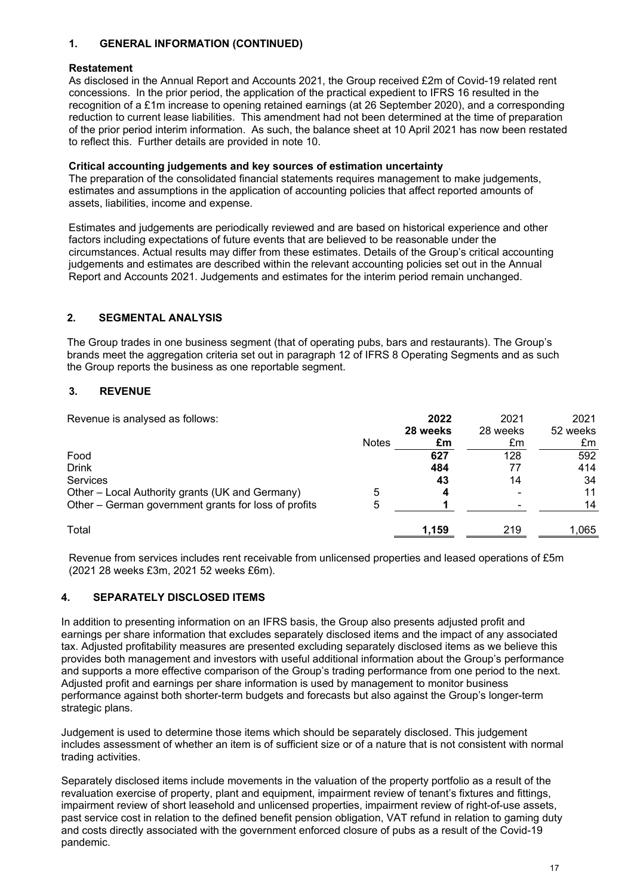# **1. GENERAL INFORMATION (CONTINUED)**

### **Restatement**

As disclosed in the Annual Report and Accounts 2021, the Group received £2m of Covid-19 related rent concessions. In the prior period, the application of the practical expedient to IFRS 16 resulted in the recognition of a £1m increase to opening retained earnings (at 26 September 2020), and a corresponding reduction to current lease liabilities. This amendment had not been determined at the time of preparation of the prior period interim information. As such, the balance sheet at 10 April 2021 has now been restated to reflect this. Further details are provided in note 10.

### **Critical accounting judgements and key sources of estimation uncertainty**

The preparation of the consolidated financial statements requires management to make judgements, estimates and assumptions in the application of accounting policies that affect reported amounts of assets, liabilities, income and expense.

Estimates and judgements are periodically reviewed and are based on historical experience and other factors including expectations of future events that are believed to be reasonable under the circumstances. Actual results may differ from these estimates. Details of the Group's critical accounting judgements and estimates are described within the relevant accounting policies set out in the Annual Report and Accounts 2021. Judgements and estimates for the interim period remain unchanged.

# **2. SEGMENTAL ANALYSIS**

The Group trades in one business segment (that of operating pubs, bars and restaurants). The Group's brands meet the aggregation criteria set out in paragraph 12 of IFRS 8 Operating Segments and as such the Group reports the business as one reportable segment.

# **3. REVENUE**

Revenue is analysed as follows: **2022** 2021 2021

| Reverige is arialysed as follows.                    |              | LULL     | ZUZ I    | ZUZ I    |
|------------------------------------------------------|--------------|----------|----------|----------|
|                                                      |              | 28 weeks | 28 weeks | 52 weeks |
|                                                      | <b>Notes</b> | £m       | £m       | £m       |
| Food                                                 |              | 627      | 128      | 592      |
| <b>Drink</b>                                         |              | 484      |          | 414      |
| Services                                             |              | 43       | 14       | 34       |
| Other - Local Authority grants (UK and Germany)      | 5            |          |          | 11       |
| Other - German government grants for loss of profits | 5            |          |          | 14       |
| Total                                                |              | 1,159    | 219      | 1,065    |

Revenue from services includes rent receivable from unlicensed properties and leased operations of £5m (2021 28 weeks £3m, 2021 52 weeks £6m).

# **4. SEPARATELY DISCLOSED ITEMS**

In addition to presenting information on an IFRS basis, the Group also presents adjusted profit and earnings per share information that excludes separately disclosed items and the impact of any associated tax. Adjusted profitability measures are presented excluding separately disclosed items as we believe this provides both management and investors with useful additional information about the Group's performance and supports a more effective comparison of the Group's trading performance from one period to the next. Adjusted profit and earnings per share information is used by management to monitor business performance against both shorter-term budgets and forecasts but also against the Group's longer-term strategic plans.

Judgement is used to determine those items which should be separately disclosed. This judgement includes assessment of whether an item is of sufficient size or of a nature that is not consistent with normal trading activities.

Separately disclosed items include movements in the valuation of the property portfolio as a result of the revaluation exercise of property, plant and equipment, impairment review of tenant's fixtures and fittings, impairment review of short leasehold and unlicensed properties, impairment review of right-of-use assets, past service cost in relation to the defined benefit pension obligation, VAT refund in relation to gaming duty and costs directly associated with the government enforced closure of pubs as a result of the Covid-19 pandemic.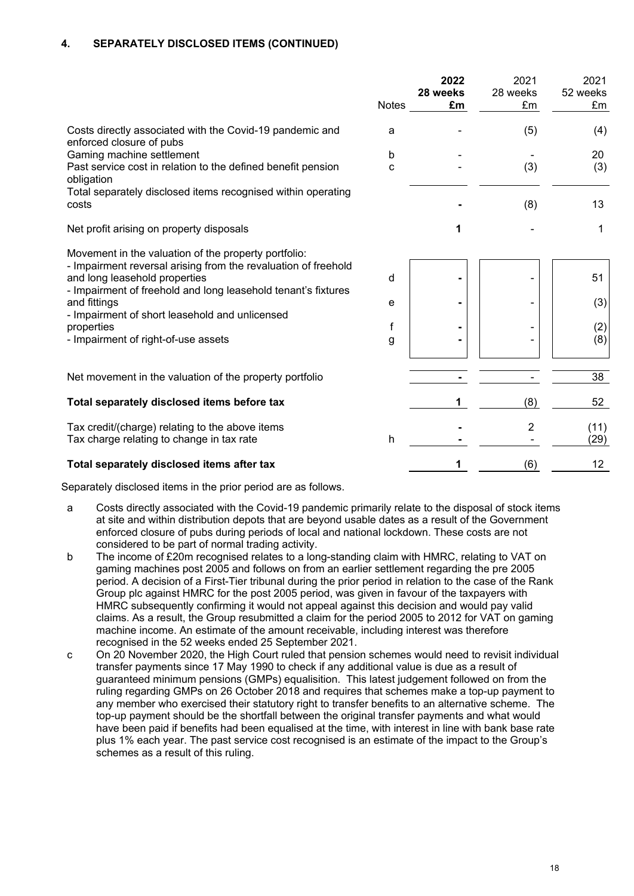# **4. SEPARATELY DISCLOSED ITEMS (CONTINUED)**

|                                                                                                 | <b>Notes</b> | 2022<br>28 weeks<br>£m | 2021<br>28 weeks<br>£m | 2021<br>52 weeks<br>£m |
|-------------------------------------------------------------------------------------------------|--------------|------------------------|------------------------|------------------------|
| Costs directly associated with the Covid-19 pandemic and<br>enforced closure of pubs            | a            |                        | (5)                    | (4)                    |
| Gaming machine settlement                                                                       | b            |                        |                        | 20                     |
| Past service cost in relation to the defined benefit pension<br>obligation                      | C            |                        | (3)                    | (3)                    |
| Total separately disclosed items recognised within operating<br>costs                           |              |                        | (8)                    | 13                     |
| Net profit arising on property disposals                                                        |              | 1                      |                        | 1                      |
| Movement in the valuation of the property portfolio:                                            |              |                        |                        |                        |
| - Impairment reversal arising from the revaluation of freehold<br>and long leasehold properties | d            | $\blacksquare$         |                        | 51                     |
| - Impairment of freehold and long leasehold tenant's fixtures<br>and fittings                   | e            | $\blacksquare$         |                        | (3)                    |
| - Impairment of short leasehold and unlicensed<br>properties                                    | f            |                        |                        | (2)                    |
| - Impairment of right-of-use assets                                                             | g            |                        |                        | (8)                    |
|                                                                                                 |              |                        |                        |                        |
| Net movement in the valuation of the property portfolio                                         |              |                        |                        | 38                     |
| Total separately disclosed items before tax                                                     |              | 1                      | (8)                    | 52                     |
| Tax credit/(charge) relating to the above items<br>Tax charge relating to change in tax rate    | h            |                        | 2                      | (11)<br>(29)           |
| Total separately disclosed items after tax                                                      |              | 1                      | (6)                    | 12                     |

Separately disclosed items in the prior period are as follows.

- a Costs directly associated with the Covid-19 pandemic primarily relate to the disposal of stock items at site and within distribution depots that are beyond usable dates as a result of the Government enforced closure of pubs during periods of local and national lockdown. These costs are not considered to be part of normal trading activity.
- b The income of £20m recognised relates to a long-standing claim with HMRC, relating to VAT on gaming machines post 2005 and follows on from an earlier settlement regarding the pre 2005 period. A decision of a First-Tier tribunal during the prior period in relation to the case of the Rank Group plc against HMRC for the post 2005 period, was given in favour of the taxpayers with HMRC subsequently confirming it would not appeal against this decision and would pay valid claims. As a result, the Group resubmitted a claim for the period 2005 to 2012 for VAT on gaming machine income. An estimate of the amount receivable, including interest was therefore recognised in the 52 weeks ended 25 September 2021.
- c On 20 November 2020, the High Court ruled that pension schemes would need to revisit individual transfer payments since 17 May 1990 to check if any additional value is due as a result of guaranteed minimum pensions (GMPs) equalisition. This latest judgement followed on from the ruling regarding GMPs on 26 October 2018 and requires that schemes make a top-up payment to any member who exercised their statutory right to transfer benefits to an alternative scheme. The top-up payment should be the shortfall between the original transfer payments and what would have been paid if benefits had been equalised at the time, with interest in line with bank base rate plus 1% each year. The past service cost recognised is an estimate of the impact to the Group's schemes as a result of this ruling.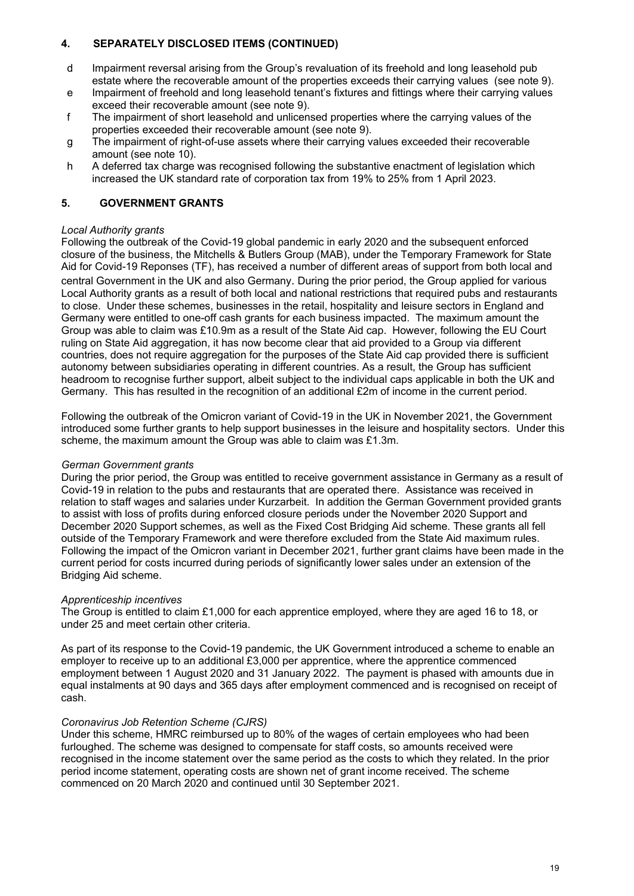# **4. SEPARATELY DISCLOSED ITEMS (CONTINUED)**

- d Impairment reversal arising from the Group's revaluation of its freehold and long leasehold pub estate where the recoverable amount of the properties exceeds their carrying values (see note 9).
- e Impairment of freehold and long leasehold tenant's fixtures and fittings where their carrying values exceed their recoverable amount (see note 9).
- f The impairment of short leasehold and unlicensed properties where the carrying values of the properties exceeded their recoverable amount (see note 9).
- g The impairment of right-of-use assets where their carrying values exceeded their recoverable amount (see note 10).
- h A deferred tax charge was recognised following the substantive enactment of legislation which increased the UK standard rate of corporation tax from 19% to 25% from 1 April 2023.

# **5. GOVERNMENT GRANTS**

# *Local Authority grants*

Following the outbreak of the Covid-19 global pandemic in early 2020 and the subsequent enforced closure of the business, the Mitchells & Butlers Group (MAB), under the Temporary Framework for State Aid for Covid-19 Reponses (TF), has received a number of different areas of support from both local and central Government in the UK and also Germany. During the prior period, the Group applied for various Local Authority grants as a result of both local and national restrictions that required pubs and restaurants to close. Under these schemes, businesses in the retail, hospitality and leisure sectors in England and Germany were entitled to one-off cash grants for each business impacted. The maximum amount the Group was able to claim was £10.9m as a result of the State Aid cap. However, following the EU Court ruling on State Aid aggregation, it has now become clear that aid provided to a Group via different countries, does not require aggregation for the purposes of the State Aid cap provided there is sufficient autonomy between subsidiaries operating in different countries. As a result, the Group has sufficient headroom to recognise further support, albeit subject to the individual caps applicable in both the UK and Germany. This has resulted in the recognition of an additional £2m of income in the current period.

Following the outbreak of the Omicron variant of Covid-19 in the UK in November 2021, the Government introduced some further grants to help support businesses in the leisure and hospitality sectors. Under this scheme, the maximum amount the Group was able to claim was £1.3m.

# *German Government grants*

During the prior period, the Group was entitled to receive government assistance in Germany as a result of Covid-19 in relation to the pubs and restaurants that are operated there. Assistance was received in relation to staff wages and salaries under Kurzarbeit. In addition the German Government provided grants to assist with loss of profits during enforced closure periods under the November 2020 Support and December 2020 Support schemes, as well as the Fixed Cost Bridging Aid scheme. These grants all fell outside of the Temporary Framework and were therefore excluded from the State Aid maximum rules. Following the impact of the Omicron variant in December 2021, further grant claims have been made in the current period for costs incurred during periods of significantly lower sales under an extension of the Bridging Aid scheme.

#### *Apprenticeship incentives*

The Group is entitled to claim £1,000 for each apprentice employed, where they are aged 16 to 18, or under 25 and meet certain other criteria.

As part of its response to the Covid-19 pandemic, the UK Government introduced a scheme to enable an employer to receive up to an additional £3,000 per apprentice, where the apprentice commenced employment between 1 August 2020 and 31 January 2022. The payment is phased with amounts due in equal instalments at 90 days and 365 days after employment commenced and is recognised on receipt of cash.

#### *Coronavirus Job Retention Scheme (CJRS)*

Under this scheme, HMRC reimbursed up to 80% of the wages of certain employees who had been furloughed. The scheme was designed to compensate for staff costs, so amounts received were recognised in the income statement over the same period as the costs to which they related. In the prior period income statement, operating costs are shown net of grant income received. The scheme commenced on 20 March 2020 and continued until 30 September 2021.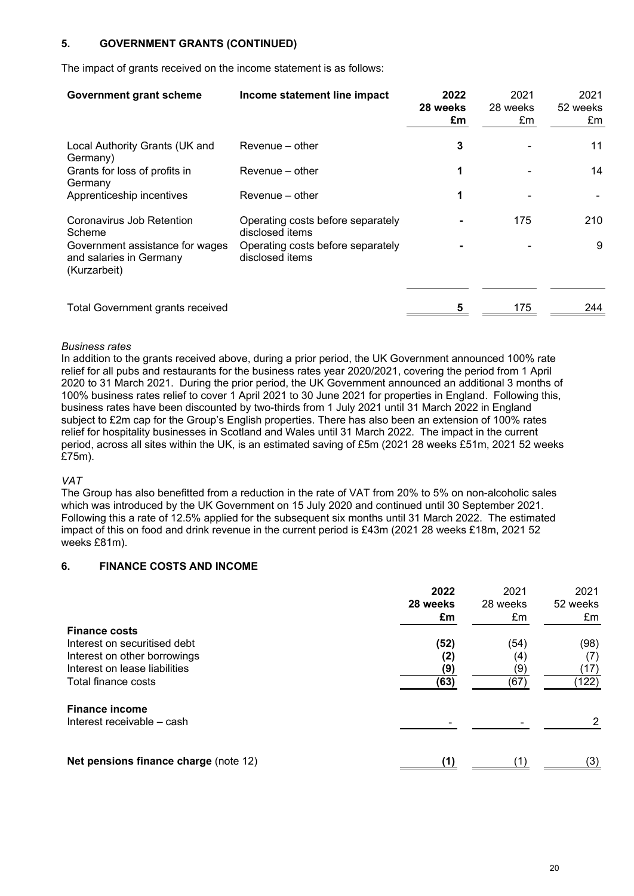# **5. GOVERNMENT GRANTS (CONTINUED)**

The impact of grants received on the income statement is as follows:

| <b>Government grant scheme</b>                                             | Income statement line impact                         | 2022<br>28 weeks<br>£m | 2021<br>28 weeks<br>£m | 2021<br>52 weeks<br>£m |
|----------------------------------------------------------------------------|------------------------------------------------------|------------------------|------------------------|------------------------|
| Local Authority Grants (UK and<br>Germany)                                 | Revenue – other                                      | 3                      |                        | 11                     |
| Grants for loss of profits in<br>Germany                                   | Revenue – other                                      | 1                      |                        | 14                     |
| Apprenticeship incentives                                                  | Revenue - other                                      | 1                      |                        |                        |
| Coronavirus Job Retention<br>Scheme                                        | Operating costs before separately<br>disclosed items |                        | 175                    | 210                    |
| Government assistance for wages<br>and salaries in Germany<br>(Kurzarbeit) | Operating costs before separately<br>disclosed items |                        |                        | 9                      |
| <b>Total Government grants received</b>                                    |                                                      | 5                      | 175                    | 244                    |

#### *Business rates*

In addition to the grants received above, during a prior period, the UK Government announced 100% rate relief for all pubs and restaurants for the business rates year 2020/2021, covering the period from 1 April 2020 to 31 March 2021. During the prior period, the UK Government announced an additional 3 months of 100% business rates relief to cover 1 April 2021 to 30 June 2021 for properties in England. Following this, business rates have been discounted by two-thirds from 1 July 2021 until 31 March 2022 in England subject to £2m cap for the Group's English properties. There has also been an extension of 100% rates relief for hospitality businesses in Scotland and Wales until 31 March 2022. The impact in the current period, across all sites within the UK, is an estimated saving of £5m (2021 28 weeks £51m, 2021 52 weeks £75m).

#### *VAT*

The Group has also benefitted from a reduction in the rate of VAT from 20% to 5% on non-alcoholic sales which was introduced by the UK Government on 15 July 2020 and continued until 30 September 2021. Following this a rate of 12.5% applied for the subsequent six months until 31 March 2022. The estimated impact of this on food and drink revenue in the current period is £43m (2021 28 weeks £18m, 2021 52 weeks £81m).

# **6. FINANCE COSTS AND INCOME**

| <b>Finance costs</b><br>Interest on securitised debt                                 | 2022<br>28 weeks<br>£m<br>(52) | 2021<br>28 weeks<br>£m<br>(54) | 2021<br>52 weeks<br>£m<br>(98) |
|--------------------------------------------------------------------------------------|--------------------------------|--------------------------------|--------------------------------|
| Interest on other borrowings<br>Interest on lease liabilities<br>Total finance costs | (2)<br>(9)<br>(63)             | (4)<br>(9)<br>(67)             | (7)<br>(17)<br>(122)           |
| <b>Finance income</b><br>Interest receivable – cash                                  |                                |                                |                                |
| Net pensions finance charge (note 12)                                                |                                |                                | (3)                            |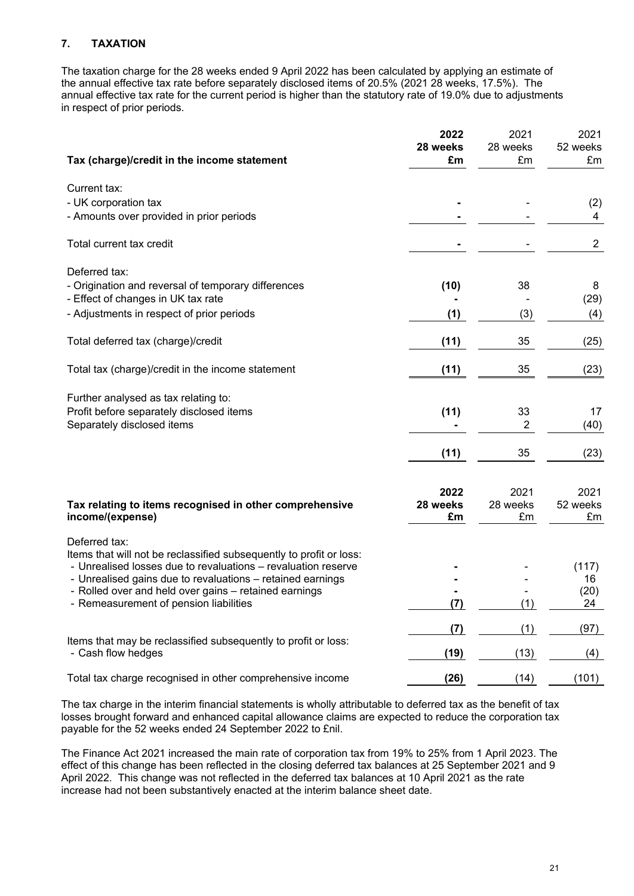# **7. TAXATION**

The taxation charge for the 28 weeks ended 9 April 2022 has been calculated by applying an estimate of the annual effective tax rate before separately disclosed items of 20.5% (2021 28 weeks, 17.5%). The annual effective tax rate for the current period is higher than the statutory rate of 19.0% due to adjustments in respect of prior periods.

|                                                                                                                                      | 2022<br>28 weeks | 2021<br>28 weeks | 2021<br>52 weeks |
|--------------------------------------------------------------------------------------------------------------------------------------|------------------|------------------|------------------|
| Tax (charge)/credit in the income statement                                                                                          | £m               | £m               | £m               |
| Current tax:                                                                                                                         |                  |                  |                  |
| - UK corporation tax                                                                                                                 |                  |                  | (2)              |
| - Amounts over provided in prior periods                                                                                             |                  |                  | 4                |
| Total current tax credit                                                                                                             |                  |                  | $\overline{2}$   |
| Deferred tax:                                                                                                                        |                  |                  |                  |
| - Origination and reversal of temporary differences                                                                                  | (10)             | 38               | 8                |
| - Effect of changes in UK tax rate                                                                                                   |                  |                  | (29)             |
| - Adjustments in respect of prior periods                                                                                            | (1)              | (3)              | (4)              |
| Total deferred tax (charge)/credit                                                                                                   | (11)             | 35               | (25)             |
| Total tax (charge)/credit in the income statement                                                                                    | (11)             | 35               | (23)             |
| Further analysed as tax relating to:                                                                                                 |                  |                  |                  |
| Profit before separately disclosed items                                                                                             | (11)             | 33               | 17               |
| Separately disclosed items                                                                                                           |                  | $\overline{c}$   | (40)             |
|                                                                                                                                      | (11)             | 35               | (23)             |
|                                                                                                                                      | 2022             | 2021             | 2021             |
| Tax relating to items recognised in other comprehensive                                                                              | 28 weeks         | 28 weeks         | 52 weeks         |
| income/(expense)                                                                                                                     | £m               | £m               | £m               |
| Deferred tax:                                                                                                                        |                  |                  |                  |
| Items that will not be reclassified subsequently to profit or loss:<br>- Unrealised losses due to revaluations - revaluation reserve |                  |                  | (117)            |
| - Unrealised gains due to revaluations - retained earnings                                                                           |                  |                  | 16               |
| - Rolled over and held over gains - retained earnings                                                                                |                  |                  | (20)             |
| - Remeasurement of pension liabilities                                                                                               | (7)              | (1)              | 24               |
|                                                                                                                                      | (7)              | (1)              | (97)             |
| Items that may be reclassified subsequently to profit or loss:<br>- Cash flow hedges                                                 | (19)             | (13)             | (4)              |
| Total tax charge recognised in other comprehensive income                                                                            | (26)             | (14)             | (101)            |

The tax charge in the interim financial statements is wholly attributable to deferred tax as the benefit of tax losses brought forward and enhanced capital allowance claims are expected to reduce the corporation tax payable for the 52 weeks ended 24 September 2022 to £nil.

The Finance Act 2021 increased the main rate of corporation tax from 19% to 25% from 1 April 2023. The effect of this change has been reflected in the closing deferred tax balances at 25 September 2021 and 9 April 2022. This change was not reflected in the deferred tax balances at 10 April 2021 as the rate increase had not been substantively enacted at the interim balance sheet date.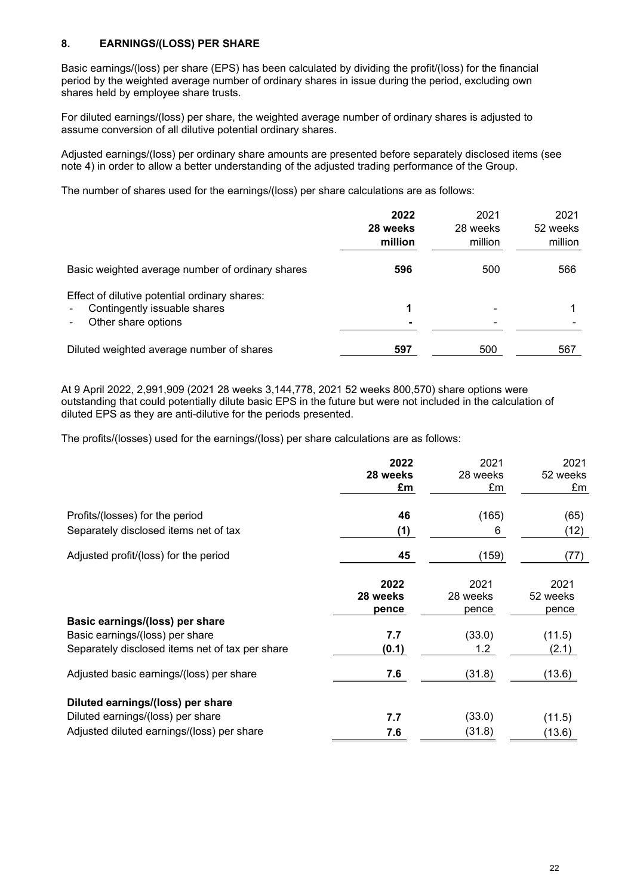# **8. EARNINGS/(LOSS) PER SHARE**

Basic earnings/(loss) per share (EPS) has been calculated by dividing the profit/(loss) for the financial period by the weighted average number of ordinary shares in issue during the period, excluding own shares held by employee share trusts.

For diluted earnings/(loss) per share, the weighted average number of ordinary shares is adjusted to assume conversion of all dilutive potential ordinary shares.

Adjusted earnings/(loss) per ordinary share amounts are presented before separately disclosed items (see note 4) in order to allow a better understanding of the adjusted trading performance of the Group.

The number of shares used for the earnings/(loss) per share calculations are as follows:

|                                                                                                                | 2022<br>28 weeks<br>million | 2021<br>28 weeks<br>million | 2021<br>52 weeks<br>million |
|----------------------------------------------------------------------------------------------------------------|-----------------------------|-----------------------------|-----------------------------|
| Basic weighted average number of ordinary shares                                                               | 596                         | 500                         | 566                         |
| Effect of dilutive potential ordinary shares:<br>Contingently issuable shares<br>$\sim$<br>Other share options |                             |                             |                             |
| Diluted weighted average number of shares                                                                      | 597                         | 500                         | 567                         |

At 9 April 2022, 2,991,909 (2021 28 weeks 3,144,778, 2021 52 weeks 800,570) share options were outstanding that could potentially dilute basic EPS in the future but were not included in the calculation of diluted EPS as they are anti-dilutive for the periods presented.

The profits/(losses) used for the earnings/(loss) per share calculations are as follows:

|                                                 | 2022<br>28 weeks<br>£m | 2021<br>28 weeks<br>£m | 2021<br>52 weeks<br>£m |
|-------------------------------------------------|------------------------|------------------------|------------------------|
| Profits/(losses) for the period                 | 46                     | (165)                  | (65)                   |
| Separately disclosed items net of tax           | (1)                    | 6                      | (12)                   |
| Adjusted profit/(loss) for the period           | 45                     | (159)                  | (77)                   |
|                                                 | 2022                   | 2021                   | 2021                   |
|                                                 | 28 weeks               | 28 weeks               | 52 weeks               |
|                                                 | pence                  | pence                  | pence                  |
| Basic earnings/(loss) per share                 |                        |                        |                        |
| Basic earnings/(loss) per share                 | 7.7                    | (33.0)                 | (11.5)                 |
| Separately disclosed items net of tax per share | (0.1)                  | 1.2                    | (2.1)                  |
| Adjusted basic earnings/(loss) per share        | 7.6                    | (31.8)                 | (13.6)                 |
| Diluted earnings/(loss) per share               |                        |                        |                        |
| Diluted earnings/(loss) per share               | 7.7                    | (33.0)                 | (11.5)                 |
| Adjusted diluted earnings/(loss) per share      | 7.6                    | (31.8)                 | (13.6)                 |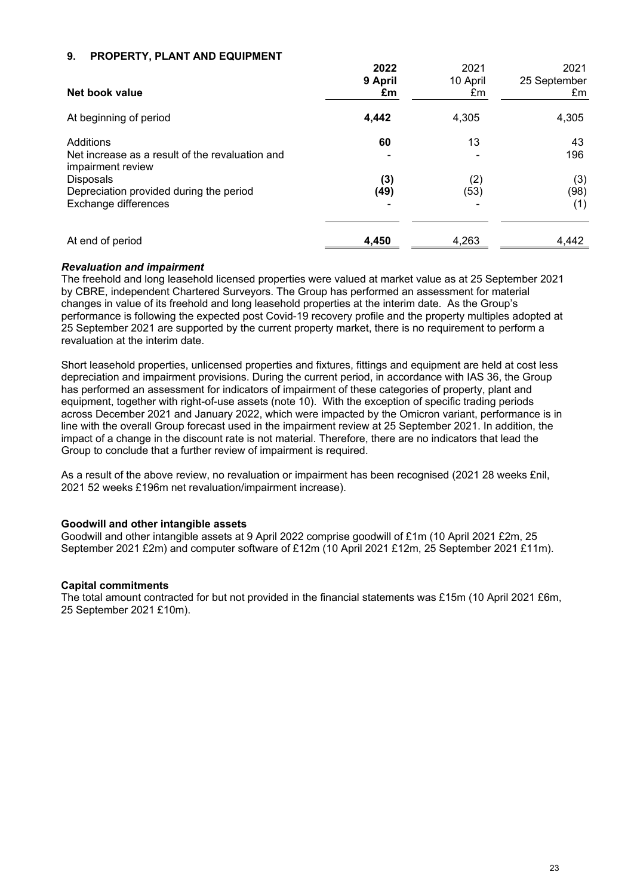# **9. PROPERTY, PLANT AND EQUIPMENT**

|                                                                      | 2022    | 2021     | 2021         |
|----------------------------------------------------------------------|---------|----------|--------------|
|                                                                      | 9 April | 10 April | 25 September |
| Net book value                                                       | £m      | £m       | £m           |
| At beginning of period                                               | 4,442   | 4,305    | 4,305        |
| Additions                                                            | 60      | 13       | 43           |
| Net increase as a result of the revaluation and<br>impairment review |         |          | 196          |
| <b>Disposals</b>                                                     | (3)     | (2)      | (3)          |
| Depreciation provided during the period                              | (49)    | (53)     | (98)         |
| Exchange differences                                                 |         |          | (1)          |
| At end of period                                                     | 4,450   | 4,263    | 4,442        |

### *Revaluation and impairment*

The freehold and long leasehold licensed properties were valued at market value as at 25 September 2021 by CBRE, independent Chartered Surveyors. The Group has performed an assessment for material changes in value of its freehold and long leasehold properties at the interim date. As the Group's performance is following the expected post Covid-19 recovery profile and the property multiples adopted at 25 September 2021 are supported by the current property market, there is no requirement to perform a revaluation at the interim date.

Short leasehold properties, unlicensed properties and fixtures, fittings and equipment are held at cost less depreciation and impairment provisions. During the current period, in accordance with IAS 36, the Group has performed an assessment for indicators of impairment of these categories of property, plant and equipment, together with right-of-use assets (note 10). With the exception of specific trading periods across December 2021 and January 2022, which were impacted by the Omicron variant, performance is in line with the overall Group forecast used in the impairment review at 25 September 2021. In addition, the impact of a change in the discount rate is not material. Therefore, there are no indicators that lead the Group to conclude that a further review of impairment is required.

As a result of the above review, no revaluation or impairment has been recognised (2021 28 weeks £nil, 2021 52 weeks £196m net revaluation/impairment increase).

#### **Goodwill and other intangible assets**

Goodwill and other intangible assets at 9 April 2022 comprise goodwill of £1m (10 April 2021 £2m, 25 September 2021 £2m) and computer software of £12m (10 April 2021 £12m, 25 September 2021 £11m).

#### **Capital commitments**

The total amount contracted for but not provided in the financial statements was £15m (10 April 2021 £6m, 25 September 2021 £10m).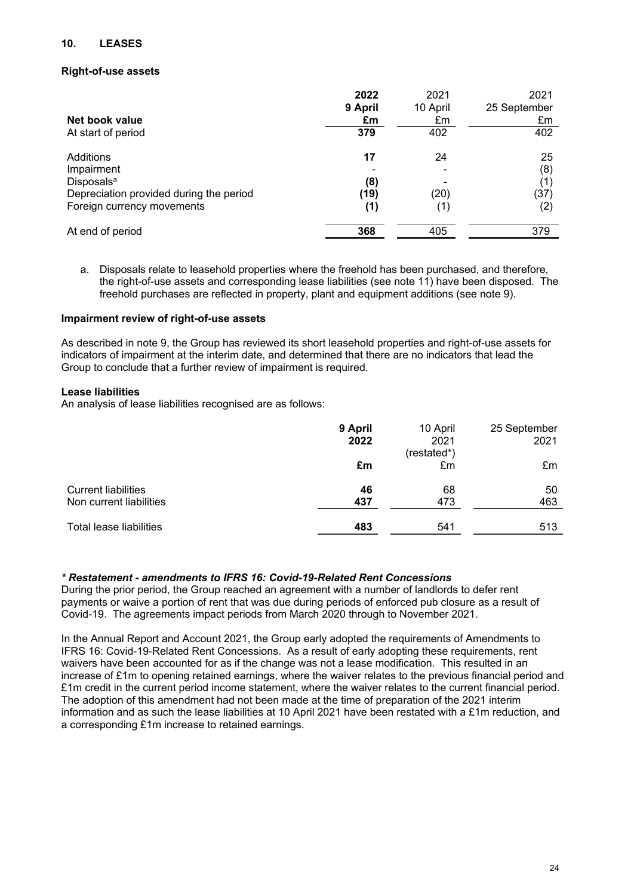# **10. LEASES**

### **Right-of-use assets**

|                                         | 2022    | 2021     | 2021         |
|-----------------------------------------|---------|----------|--------------|
|                                         | 9 April | 10 April | 25 September |
| Net book value                          | £m      | £m       | £m           |
| At start of period                      | 379     | 402      | 402          |
| Additions                               | 17      | 24       | 25           |
| Impairment                              |         |          | (8)          |
| Disposals <sup>a</sup>                  | (8)     |          | (1)          |
| Depreciation provided during the period | (19)    | (20)     | (37)         |
| Foreign currency movements              | (1)     | (1)      | (2)          |
| At end of period                        | 368     | 405      | 379          |

a. Disposals relate to leasehold properties where the freehold has been purchased, and therefore, the right-of-use assets and corresponding lease liabilities (see note 11) have been disposed. The freehold purchases are reflected in property, plant and equipment additions (see note 9).

#### **Impairment review of right-of-use assets**

As described in note 9, the Group has reviewed its short leasehold properties and right-of-use assets for indicators of impairment at the interim date, and determined that there are no indicators that lead the Group to conclude that a further review of impairment is required.

### **Lease liabilities**

An analysis of lease liabilities recognised are as follows:

|                                                       | 9 April<br>2022 | 10 April<br>2021<br>(restated*) | 25 September<br>2021 |
|-------------------------------------------------------|-----------------|---------------------------------|----------------------|
|                                                       | £m              | £m                              | £m                   |
| <b>Current liabilities</b><br>Non current liabilities | 46<br>437       | 68<br>473                       | 50<br>463            |
| Total lease liabilities                               | 483             | 541                             | 513                  |

# *\* Restatement - amendments to IFRS 16: Covid-19-Related Rent Concessions*

During the prior period, the Group reached an agreement with a number of landlords to defer rent payments or waive a portion of rent that was due during periods of enforced pub closure as a result of Covid-19. The agreements impact periods from March 2020 through to November 2021.

In the Annual Report and Account 2021, the Group early adopted the requirements of Amendments to IFRS 16: Covid-19-Related Rent Concessions. As a result of early adopting these requirements, rent waivers have been accounted for as if the change was not a lease modification. This resulted in an increase of £1m to opening retained earnings, where the waiver relates to the previous financial period and £1m credit in the current period income statement, where the waiver relates to the current financial period. The adoption of this amendment had not been made at the time of preparation of the 2021 interim information and as such the lease liabilities at 10 April 2021 have been restated with a £1m reduction, and a corresponding £1m increase to retained earnings.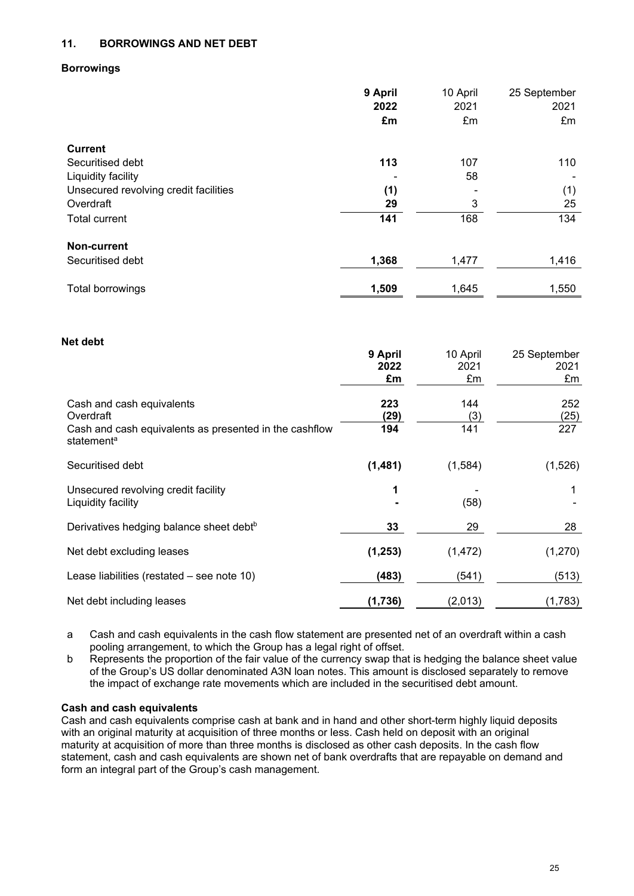# **11. BORROWINGS AND NET DEBT**

#### **Borrowings**

|                                       | 9 April | 10 April | 25 September |
|---------------------------------------|---------|----------|--------------|
|                                       | 2022    | 2021     | 2021         |
|                                       | £m      | £m       | £m           |
| <b>Current</b>                        |         |          |              |
| Securitised debt                      | 113     | 107      | 110          |
| Liquidity facility                    |         | 58       |              |
| Unsecured revolving credit facilities | (1)     |          | (1)          |
| Overdraft                             | 29      | 3        | 25           |
| <b>Total current</b>                  | 141     | 168      | 134          |
| <b>Non-current</b>                    |         |          |              |
| Securitised debt                      | 1,368   | 1,477    | 1,416        |
| Total borrowings                      | 1,509   | 1,645    | 1,550        |

#### **Net debt**

|                                                                                  | 9 April  | 10 April | 25 September |
|----------------------------------------------------------------------------------|----------|----------|--------------|
|                                                                                  | 2022     | 2021     | 2021         |
|                                                                                  | £m       | £m       | £m           |
| Cash and cash equivalents                                                        | 223      | 144      | 252          |
| Overdraft                                                                        | (29)     | (3)      | (25)         |
| Cash and cash equivalents as presented in the cashflow<br>statement <sup>a</sup> | 194      | 141      | 227          |
| Securitised debt                                                                 | (1,481)  | (1,584)  | (1,526)      |
| Unsecured revolving credit facility                                              | 1        |          |              |
| Liquidity facility                                                               |          | (58)     |              |
| Derivatives hedging balance sheet debt <sup>b</sup>                              | 33       | 29       | 28           |
| Net debt excluding leases                                                        | (1, 253) | (1, 472) | (1,270)      |
| Lease liabilities (restated – see note 10)                                       | (483)    | (541)    | (513)        |
| Net debt including leases                                                        | (1,736)  | (2,013)  | (1,783)      |

a Cash and cash equivalents in the cash flow statement are presented net of an overdraft within a cash pooling arrangement, to which the Group has a legal right of offset.

b Represents the proportion of the fair value of the currency swap that is hedging the balance sheet value of the Group's US dollar denominated A3N loan notes. This amount is disclosed separately to remove the impact of exchange rate movements which are included in the securitised debt amount.

#### **Cash and cash equivalents**

Cash and cash equivalents comprise cash at bank and in hand and other short-term highly liquid deposits with an original maturity at acquisition of three months or less. Cash held on deposit with an original maturity at acquisition of more than three months is disclosed as other cash deposits. In the cash flow statement, cash and cash equivalents are shown net of bank overdrafts that are repayable on demand and form an integral part of the Group's cash management.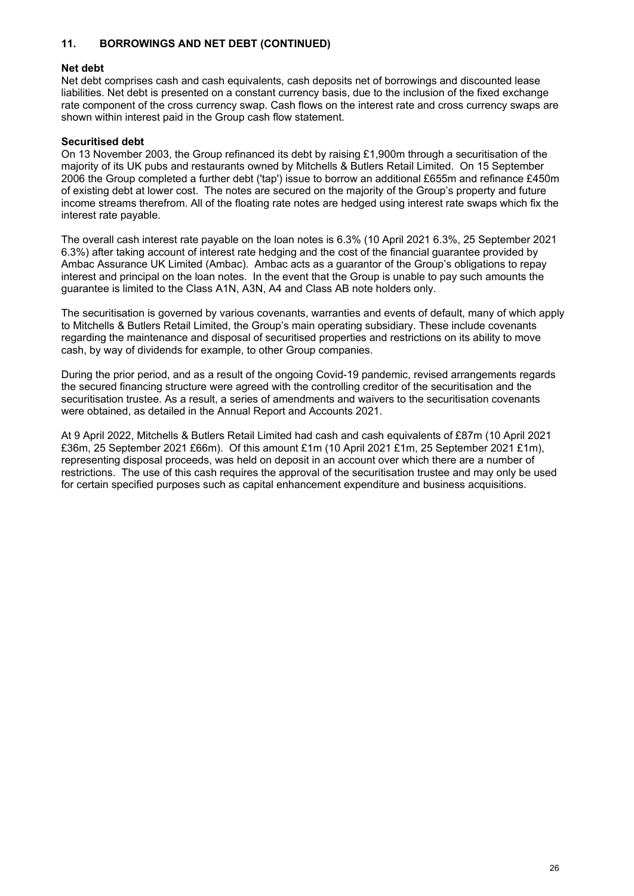# **11. BORROWINGS AND NET DEBT (CONTINUED)**

### **Net debt**

Net debt comprises cash and cash equivalents, cash deposits net of borrowings and discounted lease liabilities. Net debt is presented on a constant currency basis, due to the inclusion of the fixed exchange rate component of the cross currency swap. Cash flows on the interest rate and cross currency swaps are shown within interest paid in the Group cash flow statement.

### **Securitised debt**

On 13 November 2003, the Group refinanced its debt by raising  $£1,900m$  through a securitisation of the majority of its UK pubs and restaurants owned by Mitchells & Butlers Retail Limited. On 15 September 2006 the Group completed a further debt ('tap') issue to borrow an additional £655m and refinance £450m of existing debt at lower cost. The notes are secured on the majority of the Group's property and future income streams therefrom. All of the floating rate notes are hedged using interest rate swaps which fix the interest rate payable.

The overall cash interest rate payable on the loan notes is 6.3% (10 April 2021 6.3%, 25 September 2021 6.3%) after taking account of interest rate hedging and the cost of the financial guarantee provided by Ambac Assurance UK Limited (Ambac). Ambac acts as a guarantor of the Group's obligations to repay interest and principal on the loan notes. In the event that the Group is unable to pay such amounts the guarantee is limited to the Class A1N, A3N, A4 and Class AB note holders only.

The securitisation is governed by various covenants, warranties and events of default, many of which apply to Mitchells & Butlers Retail Limited, the Group's main operating subsidiary. These include covenants regarding the maintenance and disposal of securitised properties and restrictions on its ability to move cash, by way of dividends for example, to other Group companies.

During the prior period, and as a result of the ongoing Covid-19 pandemic, revised arrangements regards the secured financing structure were agreed with the controlling creditor of the securitisation and the securitisation trustee. As a result, a series of amendments and waivers to the securitisation covenants were obtained, as detailed in the Annual Report and Accounts 2021.

At 9 April 2022, Mitchells & Butlers Retail Limited had cash and cash equivalents of £87m (10 April 2021 £36m, 25 September 2021 £66m). Of this amount £1m (10 April 2021 £1m, 25 September 2021 £1m), representing disposal proceeds, was held on deposit in an account over which there are a number of restrictions. The use of this cash requires the approval of the securitisation trustee and may only be used for certain specified purposes such as capital enhancement expenditure and business acquisitions.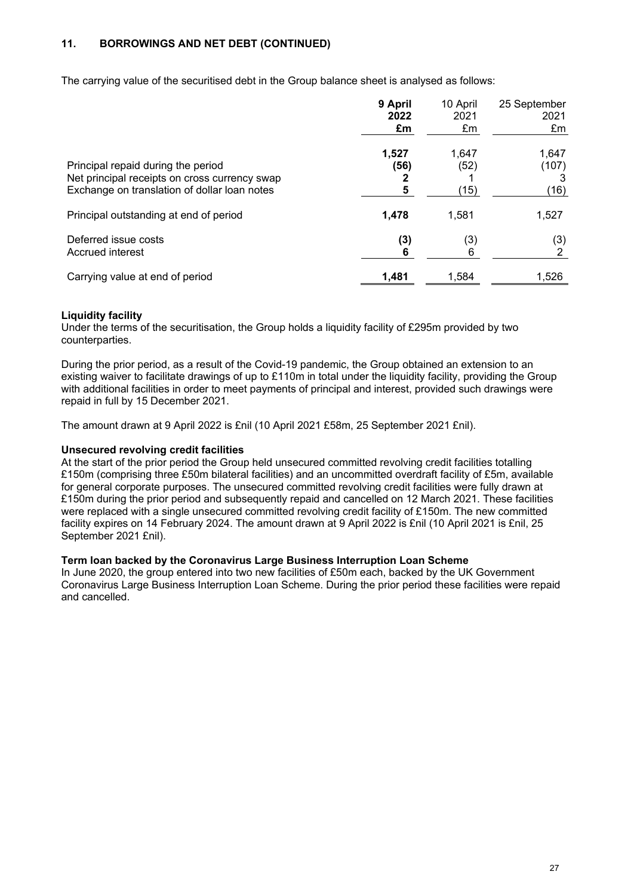# **11. BORROWINGS AND NET DEBT (CONTINUED)**

The carrying value of the securitised debt in the Group balance sheet is analysed as follows:

|                                               | 9 April | 10 April | 25 September |
|-----------------------------------------------|---------|----------|--------------|
|                                               | 2022    | 2021     | 2021         |
|                                               | £m      | £m       | £m           |
| Principal repaid during the period            | 1,527   | 1,647    | 1,647        |
| Net principal receipts on cross currency swap | (56)    | (52)     | (107)        |
| Exchange on translation of dollar loan notes  | 5       | (15)     | (16)         |
| Principal outstanding at end of period        | 1.478   | 1.581    | 1,527        |
| Deferred issue costs                          | (3)     | (3)      | (3)          |
| Accrued interest                              | 6       | 6        | 2            |
| Carrying value at end of period               | 1,481   | 1,584    | 1,526        |

# **Liquidity facility**

Under the terms of the securitisation, the Group holds a liquidity facility of £295m provided by two counterparties.

During the prior period, as a result of the Covid-19 pandemic, the Group obtained an extension to an existing waiver to facilitate drawings of up to £110m in total under the liquidity facility, providing the Group with additional facilities in order to meet payments of principal and interest, provided such drawings were repaid in full by 15 December 2021.

The amount drawn at 9 April 2022 is £nil (10 April 2021 £58m, 25 September 2021 £nil).

### **Unsecured revolving credit facilities**

At the start of the prior period the Group held unsecured committed revolving credit facilities totalling £150m (comprising three £50m bilateral facilities) and an uncommitted overdraft facility of £5m, available for general corporate purposes. The unsecured committed revolving credit facilities were fully drawn at £150m during the prior period and subsequently repaid and cancelled on 12 March 2021. These facilities were replaced with a single unsecured committed revolving credit facility of £150m. The new committed facility expires on 14 February 2024. The amount drawn at 9 April 2022 is £nil (10 April 2021 is £nil, 25 September 2021 £nil).

#### **Term loan backed by the Coronavirus Large Business Interruption Loan Scheme**

In June 2020, the group entered into two new facilities of £50m each, backed by the UK Government Coronavirus Large Business Interruption Loan Scheme. During the prior period these facilities were repaid and cancelled.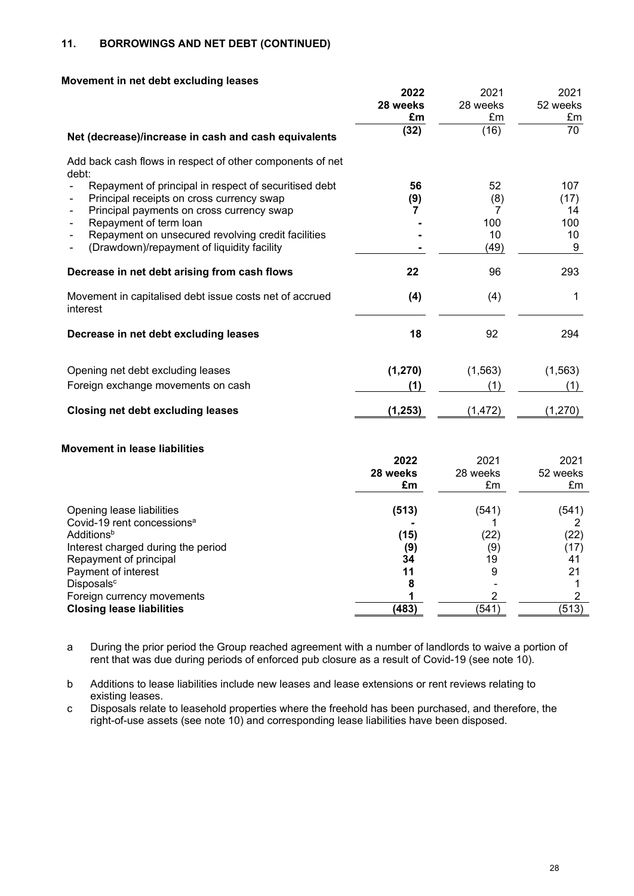# **11. BORROWINGS AND NET DEBT (CONTINUED)**

|  |  |  | Movement in net debt excluding leases |  |
|--|--|--|---------------------------------------|--|
|--|--|--|---------------------------------------|--|

|                                                                     | 2022     | 2021           | 2021           |
|---------------------------------------------------------------------|----------|----------------|----------------|
|                                                                     | 28 weeks | 28 weeks       | 52 weeks       |
|                                                                     | £m       | £m             | £m             |
| Net (decrease)/increase in cash and cash equivalents                | (32)     | (16)           | 70             |
| Add back cash flows in respect of other components of net<br>debt:  |          |                |                |
| Repayment of principal in respect of securitised debt               | 56       | 52             | 107            |
| Principal receipts on cross currency swap                           | (9)      | (8)            | (17)           |
| Principal payments on cross currency swap                           | 7        | 7              | 14             |
| Repayment of term loan                                              |          | 100            | 100            |
| Repayment on unsecured revolving credit facilities                  |          | 10             | 10             |
| (Drawdown)/repayment of liquidity facility                          |          | (49)           | 9              |
| Decrease in net debt arising from cash flows                        | 22       | 96             | 293            |
| Movement in capitalised debt issue costs net of accrued<br>interest | (4)      | (4)            | 1              |
| Decrease in net debt excluding leases                               | 18       | 92             | 294            |
| Opening net debt excluding leases                                   | (1, 270) | (1, 563)       | (1, 563)       |
| Foreign exchange movements on cash                                  | (1)      | (1)            | (1)            |
| <b>Closing net debt excluding leases</b>                            | (1, 253) | (1, 472)       | (1,270)        |
| <b>Movement in lease liabilities</b>                                |          |                |                |
|                                                                     | 2022     | 2021           | 2021           |
|                                                                     | 28 weeks | 28 weeks       | 52 weeks       |
|                                                                     | £m       | £m             | £m             |
| Opening lease liabilities                                           | (513)    | (541)          | (541)          |
| Covid-19 rent concessions <sup>a</sup>                              |          | 1.             | $\overline{2}$ |
| <b>Additions</b> <sup>b</sup>                                       | (15)     | (22)           | (22)           |
| Interest charged during the period                                  | (9)      | (9)            | (17)           |
| Repayment of principal                                              | 34       | 19             | 41             |
| Payment of interest                                                 | 11       | 9              | 21             |
| Disposals <sup>c</sup>                                              | 8        |                | 1              |
| Foreign currency movements                                          | 1        | $\overline{2}$ | $\overline{2}$ |

a During the prior period the Group reached agreement with a number of landlords to waive a portion of rent that was due during periods of enforced pub closure as a result of Covid-19 (see note 10).

**Closing lease liabilities (483)** (541) (513)

b Additions to lease liabilities include new leases and lease extensions or rent reviews relating to existing leases.

c Disposals relate to leasehold properties where the freehold has been purchased, and therefore, the right-of-use assets (see note 10) and corresponding lease liabilities have been disposed.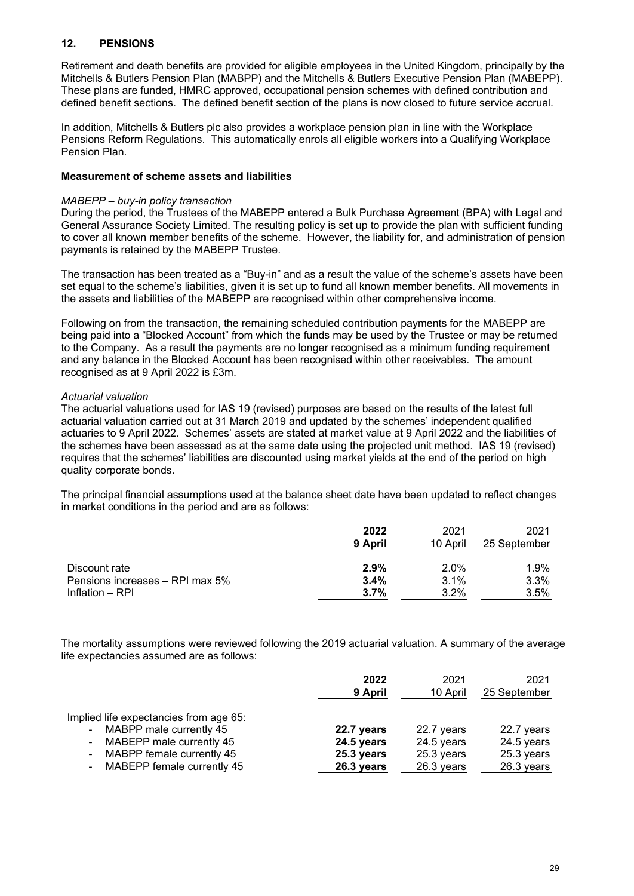# **12. PENSIONS**

Retirement and death benefits are provided for eligible employees in the United Kingdom, principally by the Mitchells & Butlers Pension Plan (MABPP) and the Mitchells & Butlers Executive Pension Plan (MABEPP). These plans are funded, HMRC approved, occupational pension schemes with defined contribution and defined benefit sections. The defined benefit section of the plans is now closed to future service accrual.

In addition, Mitchells & Butlers plc also provides a workplace pension plan in line with the Workplace Pensions Reform Regulations. This automatically enrols all eligible workers into a Qualifying Workplace Pension Plan.

### **Measurement of scheme assets and liabilities**

#### *MABEPP – buy-in policy transaction*

During the period, the Trustees of the MABEPP entered a Bulk Purchase Agreement (BPA) with Legal and General Assurance Society Limited. The resulting policy is set up to provide the plan with sufficient funding to cover all known member benefits of the scheme. However, the liability for, and administration of pension payments is retained by the MABEPP Trustee.

The transaction has been treated as a "Buy-in" and as a result the value of the scheme's assets have been set equal to the scheme's liabilities, given it is set up to fund all known member benefits. All movements in the assets and liabilities of the MABEPP are recognised within other comprehensive income.

Following on from the transaction, the remaining scheduled contribution payments for the MABEPP are being paid into a "Blocked Account" from which the funds may be used by the Trustee or may be returned to the Company. As a result the payments are no longer recognised as a minimum funding requirement and any balance in the Blocked Account has been recognised within other receivables. The amount recognised as at 9 April 2022 is £3m.

### *Actuarial valuation*

The actuarial valuations used for IAS 19 (revised) purposes are based on the results of the latest full actuarial valuation carried out at 31 March 2019 and updated by the schemes' independent qualified actuaries to 9 April 2022. Schemes' assets are stated at market value at 9 April 2022 and the liabilities of the schemes have been assessed as at the same date using the projected unit method. IAS 19 (revised) requires that the schemes' liabilities are discounted using market yields at the end of the period on high quality corporate bonds.

The principal financial assumptions used at the balance sheet date have been updated to reflect changes in market conditions in the period and are as follows:

|                                 | 2022<br>9 April | 2021<br>10 April | 2021<br>25 September |
|---------------------------------|-----------------|------------------|----------------------|
| Discount rate                   | 2.9%            | 2.0%             | 1.9%                 |
| Pensions increases - RPI max 5% | 3.4%            | 3.1%             | 3.3%                 |
| Inflation - RPI                 | 3.7%            | $3.2\%$          | 3.5%                 |

The mortality assumptions were reviewed following the 2019 actuarial valuation. A summary of the average life expectancies assumed are as follows:

|                                                                                                                                                                          | 2022                                                 | 2021                                                 | 2021                                                 |
|--------------------------------------------------------------------------------------------------------------------------------------------------------------------------|------------------------------------------------------|------------------------------------------------------|------------------------------------------------------|
|                                                                                                                                                                          | 9 April                                              | 10 April                                             | 25 September                                         |
| Implied life expectancies from age 65:<br>- MABPP male currently 45<br>- MABEPP male currently 45<br>- MABPP female currently 45<br>MABEPP female currently 45<br>$\sim$ | 22.7 years<br>24.5 years<br>25.3 years<br>26.3 years | 22.7 years<br>24.5 years<br>25.3 years<br>26.3 years | 22.7 years<br>24.5 years<br>25.3 years<br>26.3 years |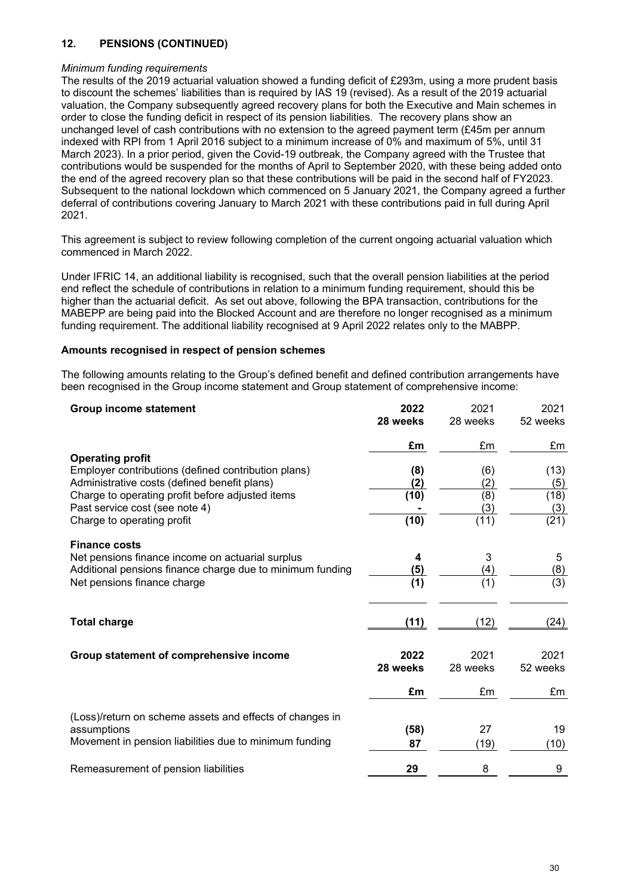# **12. PENSIONS (CONTINUED)**

#### *Minimum funding requirements*

The results of the 2019 actuarial valuation showed a funding deficit of £293m, using a more prudent basis to discount the schemes' liabilities than is required by IAS 19 (revised). As a result of the 2019 actuarial valuation, the Company subsequently agreed recovery plans for both the Executive and Main schemes in order to close the funding deficit in respect of its pension liabilities. The recovery plans show an unchanged level of cash contributions with no extension to the agreed payment term (£45m per annum indexed with RPI from 1 April 2016 subject to a minimum increase of 0% and maximum of 5%, until 31 March 2023). In a prior period, given the Covid-19 outbreak, the Company agreed with the Trustee that contributions would be suspended for the months of April to September 2020, with these being added onto the end of the agreed recovery plan so that these contributions will be paid in the second half of FY2023. Subsequent to the national lockdown which commenced on 5 January 2021, the Company agreed a further deferral of contributions covering January to March 2021 with these contributions paid in full during April 2021.

This agreement is subject to review following completion of the current ongoing actuarial valuation which commenced in March 2022.

Under IFRIC 14, an additional liability is recognised, such that the overall pension liabilities at the period end reflect the schedule of contributions in relation to a minimum funding requirement, should this be higher than the actuarial deficit. As set out above, following the BPA transaction, contributions for the MABEPP are being paid into the Blocked Account and are therefore no longer recognised as a minimum funding requirement. The additional liability recognised at 9 April 2022 relates only to the MABPP.

### **Amounts recognised in respect of pension schemes**

The following amounts relating to the Group's defined benefit and defined contribution arrangements have been recognised in the Group income statement and Group statement of comprehensive income:

| <b>Group income statement</b>                             | 2022             | 2021             | 2021             |
|-----------------------------------------------------------|------------------|------------------|------------------|
|                                                           | 28 weeks         | 28 weeks         | 52 weeks         |
|                                                           | £m               | £m               | £m               |
| <b>Operating profit</b>                                   |                  |                  |                  |
| Employer contributions (defined contribution plans)       | (8)              | (6)              | (13)             |
| Administrative costs (defined benefit plans)              | (2)              | (2)              | (5)              |
| Charge to operating profit before adjusted items          | (10)             | (8)              | (18)             |
| Past service cost (see note 4)                            |                  | (3)              | (3)              |
| Charge to operating profit                                | (10)             | (11)             | (21)             |
| <b>Finance costs</b>                                      |                  |                  |                  |
| Net pensions finance income on actuarial surplus          | 4                | 3                | 5                |
| Additional pensions finance charge due to minimum funding | (5)              | (4)              | (8)              |
| Net pensions finance charge                               | $\overline{(1)}$ | $\overline{(1)}$ | $\overline{(3)}$ |
|                                                           |                  |                  |                  |
| <b>Total charge</b>                                       | (11)             | (12)             | (24)             |
|                                                           |                  |                  |                  |
| Group statement of comprehensive income                   | 2022             | 2021             | 2021             |
|                                                           | 28 weeks         | 28 weeks         | 52 weeks         |
|                                                           | £m               | £m               | £m               |
| (Loss)/return on scheme assets and effects of changes in  |                  |                  |                  |
| assumptions                                               | (58)             | 27               | 19               |
| Movement in pension liabilities due to minimum funding    | 87               | (19)             | (10)             |
|                                                           |                  |                  |                  |
| Remeasurement of pension liabilities                      | 29               | 8                | 9                |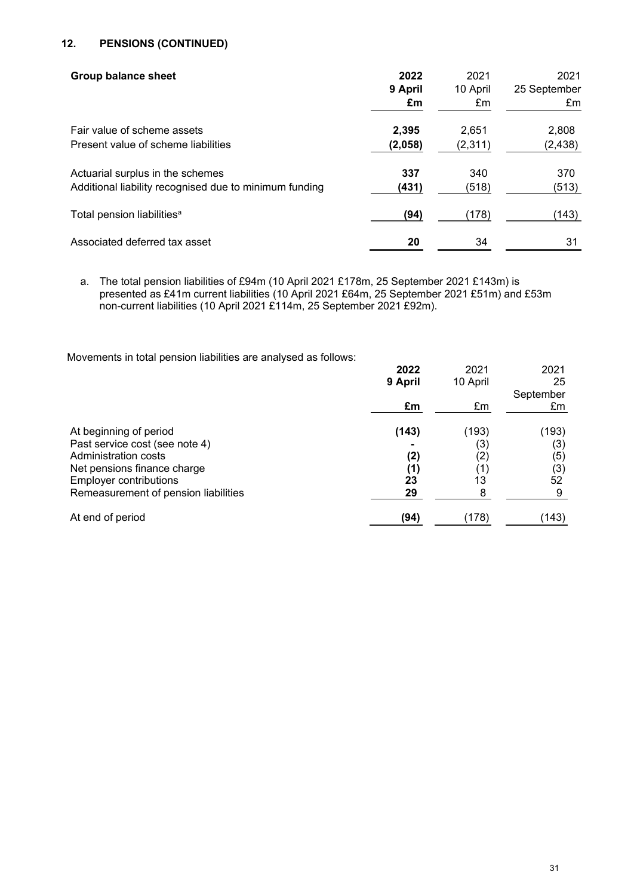# **12. PENSIONS (CONTINUED)**

| <b>Group balance sheet</b>                             | 2022<br>9 April<br>£m | 2021<br>10 April<br>£m | 2021<br>25 September<br>£m |
|--------------------------------------------------------|-----------------------|------------------------|----------------------------|
| Fair value of scheme assets                            | 2,395                 | 2,651                  | 2,808                      |
| Present value of scheme liabilities                    | (2,058)               | (2,311)                | (2, 438)                   |
| Actuarial surplus in the schemes                       | 337                   | 340                    | 370                        |
| Additional liability recognised due to minimum funding | (431)                 | (518)                  | (513)                      |
| Total pension liabilities <sup>a</sup>                 | (94)                  | (178)                  | (143)                      |
| Associated deferred tax asset                          | 20                    | 34                     | 31                         |

a. The total pension liabilities of £94m (10 April 2021 £178m, 25 September 2021 £143m) is presented as £41m current liabilities (10 April 2021 £64m, 25 September 2021 £51m) and £53m non-current liabilities (10 April 2021 £114m, 25 September 2021 £92m).

Movements in total pension liabilities are analysed as follows:

|                                      | 2022    | 2021     | 2021      |
|--------------------------------------|---------|----------|-----------|
|                                      | 9 April | 10 April | 25        |
|                                      |         |          | September |
|                                      | £m      | £m       | £m        |
| At beginning of period               | (143)   | (193)    | (193)     |
| Past service cost (see note 4)       |         | (3)      | (3)       |
| Administration costs                 | (2)     | (2)      | (5)       |
| Net pensions finance charge          | (1)     | (1)      | (3)       |
| <b>Employer contributions</b>        | 23      | 13       | 52        |
| Remeasurement of pension liabilities | 29      | 8        | 9         |
| At end of period                     | (94)    | (178)    | (143)     |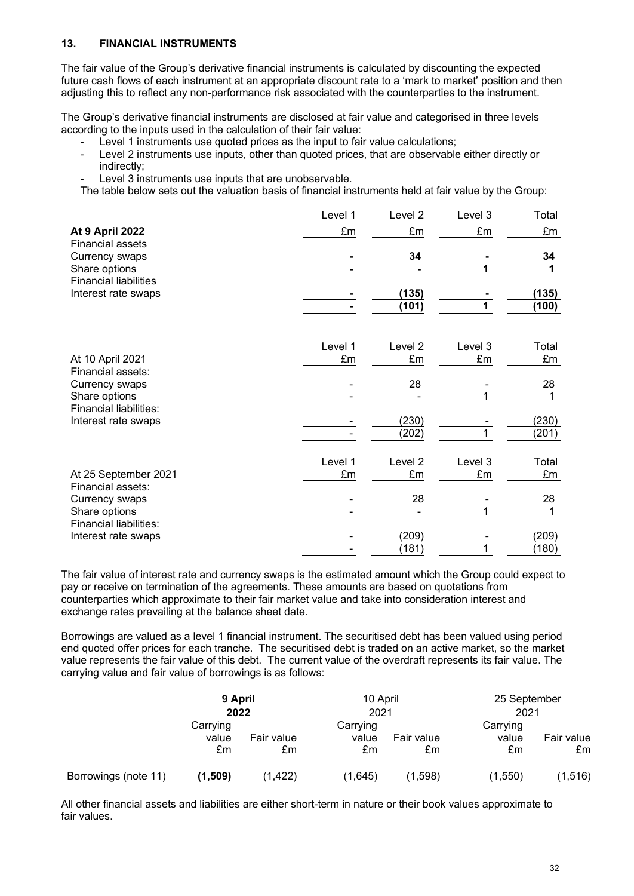# **13. FINANCIAL INSTRUMENTS**

The fair value of the Group's derivative financial instruments is calculated by discounting the expected future cash flows of each instrument at an appropriate discount rate to a 'mark to market' position and then adjusting this to reflect any non-performance risk associated with the counterparties to the instrument.

The Group's derivative financial instruments are disclosed at fair value and categorised in three levels according to the inputs used in the calculation of their fair value:

- Level 1 instruments use quoted prices as the input to fair value calculations;
- Level 2 instruments use inputs, other than quoted prices, that are observable either directly or indirectly;
- Level 3 instruments use inputs that are unobservable.

The table below sets out the valuation basis of financial instruments held at fair value by the Group:

|                               | Level 1 | Level 2            | Level 3 | Total |
|-------------------------------|---------|--------------------|---------|-------|
| <b>At 9 April 2022</b>        | £m      | £m                 | £m      | £m    |
| <b>Financial assets</b>       |         |                    |         |       |
| Currency swaps                |         | 34                 |         | 34    |
| Share options                 |         |                    |         | 1     |
| <b>Financial liabilities</b>  |         |                    |         |       |
| Interest rate swaps           |         | (135)              |         | (135) |
|                               |         | (101)              |         | (100) |
|                               |         |                    |         |       |
|                               | Level 1 | Level <sub>2</sub> | Level 3 | Total |
| At 10 April 2021              | £m      | £m                 | £m      | £m    |
| Financial assets:             |         |                    |         |       |
| Currency swaps                |         | 28                 |         | 28    |
| Share options                 |         |                    |         |       |
| Financial liabilities:        |         |                    |         |       |
| Interest rate swaps           |         | (230)              |         | (230) |
|                               |         | (202)              |         | (201) |
|                               | Level 1 | Level <sub>2</sub> | Level 3 | Total |
| At 25 September 2021          | £m      | £m                 | £m      | £m    |
| Financial assets:             |         |                    |         |       |
| Currency swaps                |         | 28                 |         | 28    |
| Share options                 |         |                    | 1       |       |
| <b>Financial liabilities:</b> |         |                    |         |       |
| Interest rate swaps           |         | (209)              |         | (209) |
|                               |         | (181)              |         | (180) |

The fair value of interest rate and currency swaps is the estimated amount which the Group could expect to pay or receive on termination of the agreements. These amounts are based on quotations from counterparties which approximate to their fair market value and take into consideration interest and exchange rates prevailing at the balance sheet date.

Borrowings are valued as a level 1 financial instrument. The securitised debt has been valued using period end quoted offer prices for each tranche. The securitised debt is traded on an active market, so the market value represents the fair value of this debt. The current value of the overdraft represents its fair value. The carrying value and fair value of borrowings is as follows:

|                      | 9 April<br>2022         |                  | 10 April<br>2021        |                  | 25 September<br>2021    |                  |
|----------------------|-------------------------|------------------|-------------------------|------------------|-------------------------|------------------|
|                      | Carrying<br>value<br>£m | Fair value<br>£m | Carrying<br>value<br>£m | Fair value<br>£m | Carrying<br>value<br>£m | Fair value<br>£m |
| Borrowings (note 11) | (1, 509)                | (1, 422)         | (1,645)                 | (1, 598)         | (1, 550)                | (1, 516)         |

All other financial assets and liabilities are either short-term in nature or their book values approximate to fair values.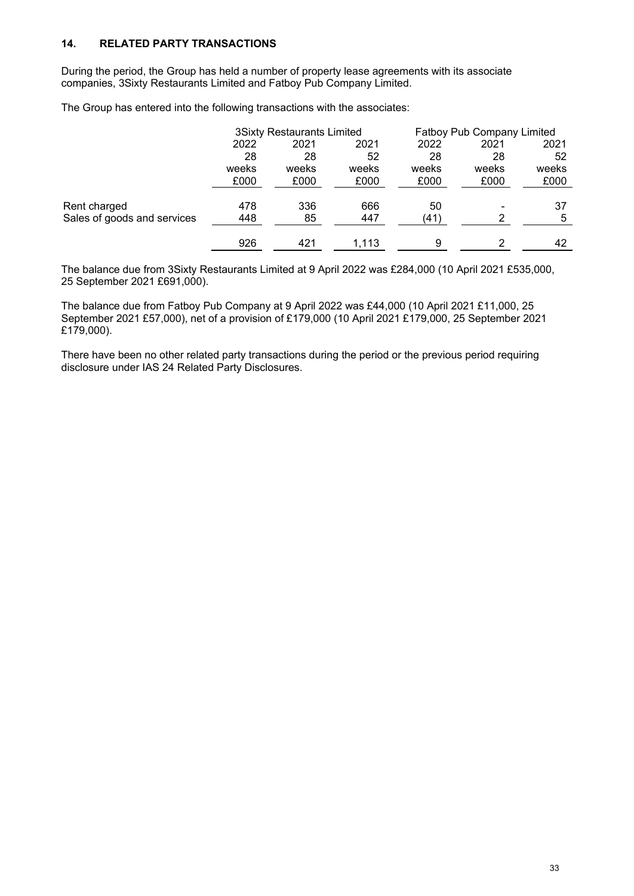# **14. RELATED PARTY TRANSACTIONS**

During the period, the Group has held a number of property lease agreements with its associate companies, 3Sixty Restaurants Limited and Fatboy Pub Company Limited.

The Group has entered into the following transactions with the associates:

|                             | <b>3Sixty Restaurants Limited</b> |       |       |       | Fatboy Pub Company Limited |       |
|-----------------------------|-----------------------------------|-------|-------|-------|----------------------------|-------|
|                             | 2022                              | 2021  | 2021  | 2022  | 2021                       | 2021  |
|                             | 28                                | 28    | 52    | 28    | 28                         | 52    |
|                             | weeks                             | weeks | weeks | weeks | weeks                      | weeks |
|                             | £000                              | £000  | £000  | £000  | £000                       | £000  |
|                             |                                   |       |       |       |                            |       |
| Rent charged                | 478                               | 336   | 666   | 50    |                            | 37    |
| Sales of goods and services | 448                               | 85    | 447   | (41)  |                            | 5     |
|                             |                                   |       |       |       |                            |       |
|                             | 926                               | 421   | 1,113 | 9     | っ                          | 42    |

The balance due from 3Sixty Restaurants Limited at 9 April 2022 was £284,000 (10 April 2021 £535,000, 25 September 2021 £691,000).

The balance due from Fatboy Pub Company at 9 April 2022 was £44,000 (10 April 2021 £11,000, 25 September 2021 £57,000), net of a provision of £179,000 (10 April 2021 £179,000, 25 September 2021 £179,000).

There have been no other related party transactions during the period or the previous period requiring disclosure under IAS 24 Related Party Disclosures.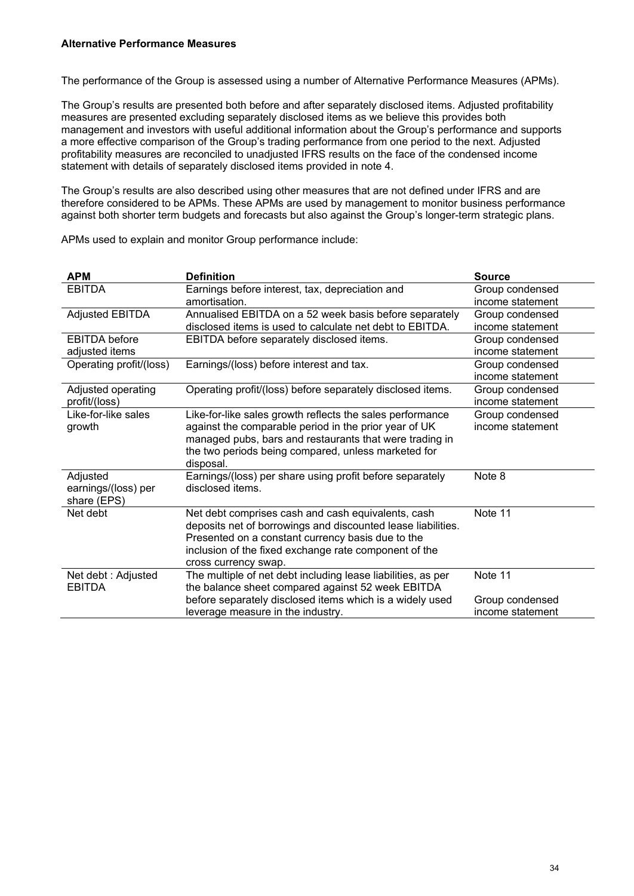The performance of the Group is assessed using a number of Alternative Performance Measures (APMs).

The Group's results are presented both before and after separately disclosed items. Adjusted profitability measures are presented excluding separately disclosed items as we believe this provides both management and investors with useful additional information about the Group's performance and supports a more effective comparison of the Group's trading performance from one period to the next. Adjusted profitability measures are reconciled to unadjusted IFRS results on the face of the condensed income statement with details of separately disclosed items provided in note 4.

The Group's results are also described using other measures that are not defined under IFRS and are therefore considered to be APMs. These APMs are used by management to monitor business performance against both shorter term budgets and forecasts but also against the Group's longer-term strategic plans.

| <b>APM</b>              | <b>Definition</b>                                            | <b>Source</b>    |
|-------------------------|--------------------------------------------------------------|------------------|
| <b>EBITDA</b>           | Earnings before interest, tax, depreciation and              | Group condensed  |
|                         | amortisation.                                                | income statement |
| <b>Adjusted EBITDA</b>  | Annualised EBITDA on a 52 week basis before separately       | Group condensed  |
|                         | disclosed items is used to calculate net debt to EBITDA.     | income statement |
| <b>EBITDA</b> before    | EBITDA before separately disclosed items.                    | Group condensed  |
| adjusted items          |                                                              | income statement |
| Operating profit/(loss) | Earnings/(loss) before interest and tax.                     | Group condensed  |
|                         |                                                              | income statement |
| Adjusted operating      | Operating profit/(loss) before separately disclosed items.   | Group condensed  |
| profit/(loss)           |                                                              | income statement |
| Like-for-like sales     | Like-for-like sales growth reflects the sales performance    | Group condensed  |
| growth                  | against the comparable period in the prior year of UK        | income statement |
|                         | managed pubs, bars and restaurants that were trading in      |                  |
|                         | the two periods being compared, unless marketed for          |                  |
|                         | disposal.                                                    |                  |
| Adjusted                | Earnings/(loss) per share using profit before separately     | Note 8           |
| earnings/(loss) per     | disclosed items.                                             |                  |
| share (EPS)             |                                                              |                  |
| Net debt                | Net debt comprises cash and cash equivalents, cash           | Note 11          |
|                         | deposits net of borrowings and discounted lease liabilities. |                  |
|                         | Presented on a constant currency basis due to the            |                  |
|                         | inclusion of the fixed exchange rate component of the        |                  |
|                         | cross currency swap.                                         |                  |
| Net debt : Adjusted     | The multiple of net debt including lease liabilities, as per | Note 11          |
| <b>EBITDA</b>           | the balance sheet compared against 52 week EBITDA            |                  |
|                         | before separately disclosed items which is a widely used     | Group condensed  |
|                         | leverage measure in the industry.                            | income statement |

APMs used to explain and monitor Group performance include: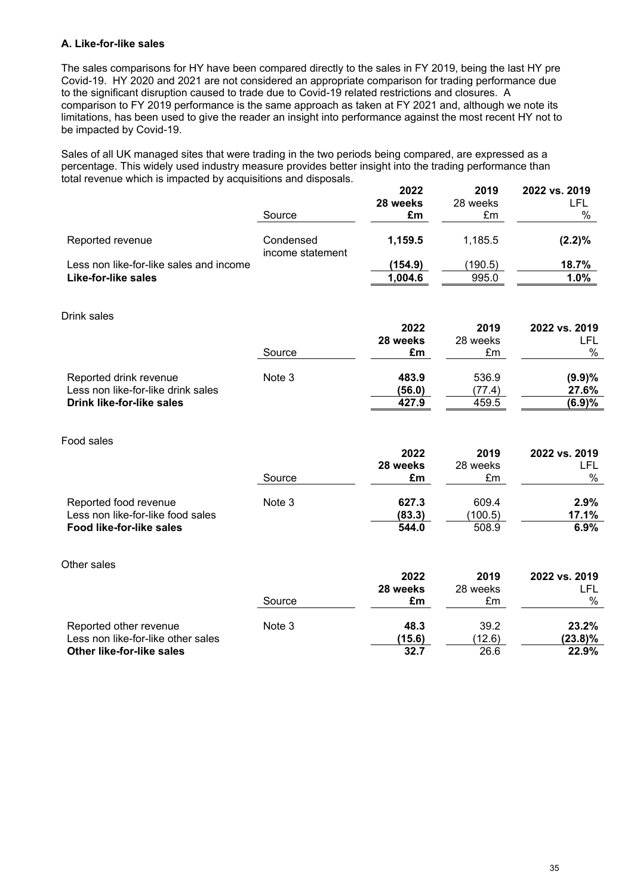### **A. Like-for-like sales**

The sales comparisons for HY have been compared directly to the sales in FY 2019, being the last HY pre Covid-19. HY 2020 and 2021 are not considered an appropriate comparison for trading performance due to the significant disruption caused to trade due to Covid-19 related restrictions and closures. A comparison to FY 2019 performance is the same approach as taken at FY 2021 and, although we note its limitations, has been used to give the reader an insight into performance against the most recent HY not to be impacted by Covid-19.

Sales of all UK managed sites that were trading in the two periods being compared, are expressed as a percentage. This widely used industry measure provides better insight into the trading performance than total revenue which is impacted by acquisitions and disposals. **2022 2019 2022 vs. 2019**

|                                         | Source           | ZUZZ<br>28 weeks<br>£m | 20 I J<br>28 weeks<br>£m | ZUZZ VS. ZU IJ<br>LFL<br>% |
|-----------------------------------------|------------------|------------------------|--------------------------|----------------------------|
| Reported revenue                        | Condensed        | 1,159.5                | 1,185.5                  | $(2.2)\%$                  |
| Less non like-for-like sales and income | income statement | (154.9)                | (190.5)                  | 18.7%                      |
| <b>Like-for-like sales</b>              |                  | 1,004.6                | 995.0                    | 1.0%                       |
| Drink sales                             |                  |                        |                          |                            |
|                                         |                  | 2022                   | 2019                     | 2022 vs. 2019              |
|                                         |                  | 28 weeks               | 28 weeks                 | <b>LFL</b><br>$\%$         |
|                                         | Source           | £m                     | £m                       |                            |
| Reported drink revenue                  | Note 3           | 483.9                  | 536.9                    | (9.9)%                     |
| Less non like-for-like drink sales      |                  | (56.0)                 | (77.4)                   | 27.6%                      |
| <b>Drink like-for-like sales</b>        |                  | 427.9                  | 459.5                    | (6.9)%                     |
| Food sales                              |                  |                        |                          |                            |
|                                         |                  | 2022                   | 2019                     | 2022 vs. 2019              |
|                                         |                  | 28 weeks               | 28 weeks                 | <b>LFL</b>                 |
|                                         | Source           | £m                     | £m                       | $\%$                       |
| Reported food revenue                   | Note 3           | 627.3                  | 609.4                    | 2.9%                       |
| Less non like-for-like food sales       |                  | (83.3)                 | (100.5)                  | 17.1%                      |
| Food like-for-like sales                |                  | 544.0                  | 508.9                    | 6.9%                       |
| Other sales                             |                  |                        |                          |                            |
|                                         |                  | 2022                   | 2019                     | 2022 vs. 2019              |
|                                         |                  | 28 weeks               | 28 weeks                 | <b>LFL</b>                 |
|                                         | Source           | £m                     | £m                       | $\%$                       |
| Reported other revenue                  | Note 3           | 48.3                   | 39.2                     | 23.2%                      |
| Less non like-for-like other sales      |                  | (15.6)                 | (12.6)                   | $(23.8)\%$                 |
| Other like-for-like sales               |                  | 32.7                   | 26.6                     | 22.9%                      |